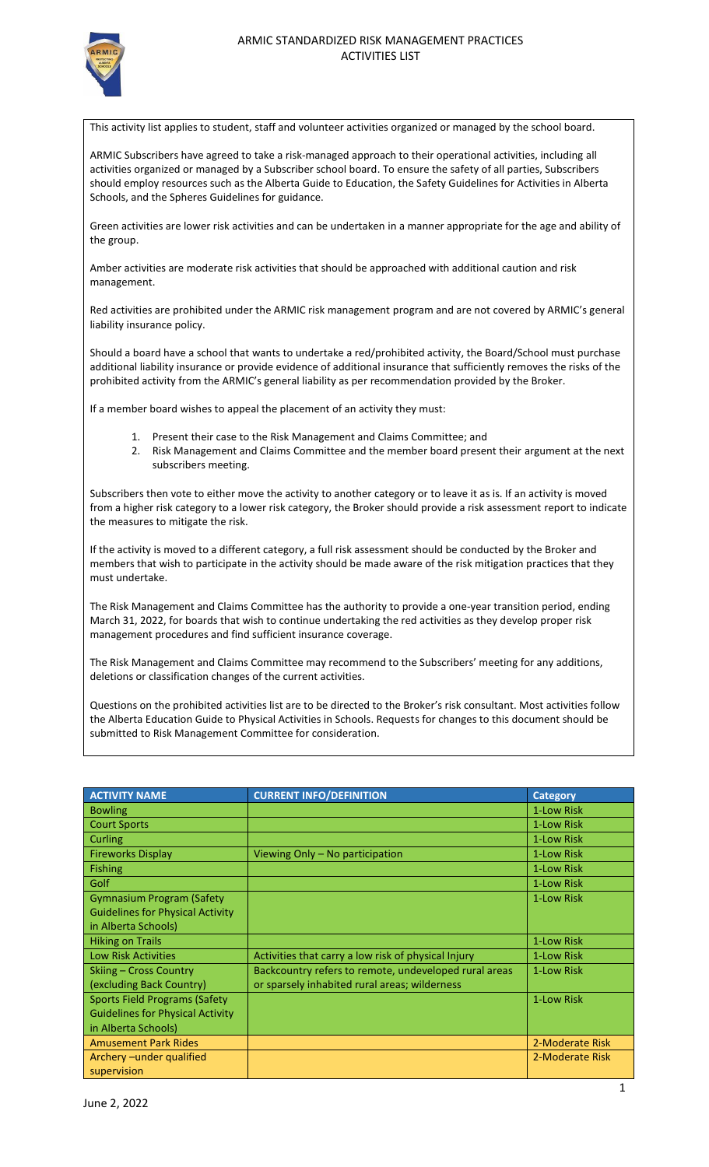

This activity list applies to student, staff and volunteer activities organized or managed by the school board.

ARMIC Subscribers have agreed to take a risk-managed approach to their operational activities, including all activities organized or managed by a Subscriber school board. To ensure the safety of all parties, Subscribers should employ resources such as the Alberta Guide to Education, the Safety Guidelines for Activities in Alberta Schools, and the Spheres Guidelines for guidance.

Green activities are lower risk activities and can be undertaken in a manner appropriate for the age and ability of the group.

Amber activities are moderate risk activities that should be approached with additional caution and risk management.

Red activities are prohibited under the ARMIC risk management program and are not covered by ARMIC's general liability insurance policy.

Should a board have a school that wants to undertake a red/prohibited activity, the Board/School must purchase additional liability insurance or provide evidence of additional insurance that sufficiently removes the risks of the prohibited activity from the ARMIC's general liability as per recommendation provided by the Broker.

If a member board wishes to appeal the placement of an activity they must:

- 1. Present their case to the Risk Management and Claims Committee; and
- 2. Risk Management and Claims Committee and the member board present their argument at the next subscribers meeting.

Subscribers then vote to either move the activity to another category or to leave it as is. If an activity is moved from a higher risk category to a lower risk category, the Broker should provide a risk assessment report to indicate the measures to mitigate the risk.

If the activity is moved to a different category, a full risk assessment should be conducted by the Broker and members that wish to participate in the activity should be made aware of the risk mitigation practices that they must undertake.

The Risk Management and Claims Committee has the authority to provide a one-year transition period, ending March 31, 2022, for boards that wish to continue undertaking the red activities as they develop proper risk management procedures and find sufficient insurance coverage.

The Risk Management and Claims Committee may recommend to the Subscribers' meeting for any additions, deletions or classification changes of the current activities.

Questions on the prohibited activities list are to be directed to the Broker's risk consultant. Most activities follow the Alberta Education Guide to Physical Activities in Schools. Requests for changes to this document should be submitted to Risk Management Committee for consideration.

| <b>ACTIVITY NAME</b>                    | <b>CURRENT INFO/DEFINITION</b>                        | <b>Category</b> |
|-----------------------------------------|-------------------------------------------------------|-----------------|
| <b>Bowling</b>                          |                                                       | 1-Low Risk      |
| <b>Court Sports</b>                     |                                                       | 1-Low Risk      |
| Curling                                 |                                                       | 1-Low Risk      |
| <b>Fireworks Display</b>                | Viewing Only - No participation                       | 1-Low Risk      |
| <b>Fishing</b>                          |                                                       | 1-Low Risk      |
| Golf                                    |                                                       | 1-Low Risk      |
| <b>Gymnasium Program (Safety</b>        |                                                       | 1-Low Risk      |
| <b>Guidelines for Physical Activity</b> |                                                       |                 |
| in Alberta Schools)                     |                                                       |                 |
| <b>Hiking on Trails</b>                 |                                                       | 1-Low Risk      |
| <b>Low Risk Activities</b>              | Activities that carry a low risk of physical Injury   | 1-Low Risk      |
| Skiing - Cross Country                  | Backcountry refers to remote, undeveloped rural areas | 1-Low Risk      |
| (excluding Back Country)                | or sparsely inhabited rural areas; wilderness         |                 |
| <b>Sports Field Programs (Safety</b>    |                                                       | 1-Low Risk      |
| <b>Guidelines for Physical Activity</b> |                                                       |                 |
| in Alberta Schools)                     |                                                       |                 |
| <b>Amusement Park Rides</b>             |                                                       | 2-Moderate Risk |
| Archery-under qualified                 |                                                       | 2-Moderate Risk |
| supervision                             |                                                       |                 |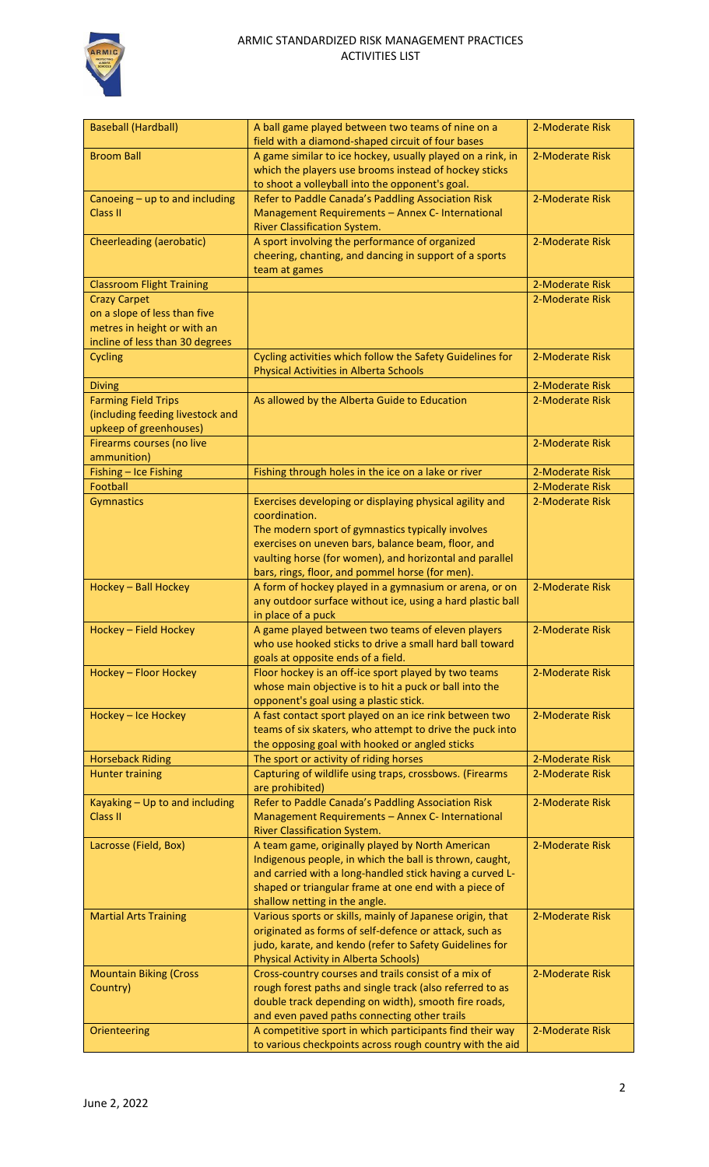

| <b>Baseball (Hardball)</b>       | A ball game played between two teams of nine on a<br>field with a diamond-shaped circuit of four bases       | 2-Moderate Risk |
|----------------------------------|--------------------------------------------------------------------------------------------------------------|-----------------|
| <b>Broom Ball</b>                | A game similar to ice hockey, usually played on a rink, in                                                   | 2-Moderate Risk |
|                                  | which the players use brooms instead of hockey sticks                                                        |                 |
|                                  | to shoot a volleyball into the opponent's goal.                                                              |                 |
| Canoeing - up to and including   | Refer to Paddle Canada's Paddling Association Risk                                                           | 2-Moderate Risk |
| <b>Class II</b>                  | Management Requirements - Annex C- International                                                             |                 |
|                                  | River Classification System.                                                                                 |                 |
| <b>Cheerleading (aerobatic)</b>  | A sport involving the performance of organized                                                               | 2-Moderate Risk |
|                                  | cheering, chanting, and dancing in support of a sports                                                       |                 |
|                                  | team at games                                                                                                |                 |
| <b>Classroom Flight Training</b> |                                                                                                              | 2-Moderate Risk |
| <b>Crazy Carpet</b>              |                                                                                                              | 2-Moderate Risk |
| on a slope of less than five     |                                                                                                              |                 |
| metres in height or with an      |                                                                                                              |                 |
| incline of less than 30 degrees  | Cycling activities which follow the Safety Guidelines for                                                    | 2-Moderate Risk |
| Cycling                          | <b>Physical Activities in Alberta Schools</b>                                                                |                 |
| <b>Diving</b>                    |                                                                                                              | 2-Moderate Risk |
| <b>Farming Field Trips</b>       | As allowed by the Alberta Guide to Education                                                                 | 2-Moderate Risk |
| (including feeding livestock and |                                                                                                              |                 |
| upkeep of greenhouses)           |                                                                                                              |                 |
| Firearms courses (no live        |                                                                                                              | 2-Moderate Risk |
| ammunition)                      |                                                                                                              |                 |
| Fishing - Ice Fishing            | Fishing through holes in the ice on a lake or river                                                          | 2-Moderate Risk |
| Football                         |                                                                                                              | 2-Moderate Risk |
| Gymnastics                       | Exercises developing or displaying physical agility and                                                      | 2-Moderate Risk |
|                                  | coordination.                                                                                                |                 |
|                                  | The modern sport of gymnastics typically involves                                                            |                 |
|                                  | exercises on uneven bars, balance beam, floor, and                                                           |                 |
|                                  | vaulting horse (for women), and horizontal and parallel                                                      |                 |
|                                  | bars, rings, floor, and pommel horse (for men).                                                              |                 |
| Hockey - Ball Hockey             | A form of hockey played in a gymnasium or arena, or on                                                       | 2-Moderate Risk |
|                                  | any outdoor surface without ice, using a hard plastic ball                                                   |                 |
|                                  | in place of a puck                                                                                           |                 |
| Hockey - Field Hockey            | A game played between two teams of eleven players<br>who use hooked sticks to drive a small hard ball toward | 2-Moderate Risk |
|                                  | goals at opposite ends of a field.                                                                           |                 |
| Hockey - Floor Hockey            | Floor hockey is an off-ice sport played by two teams                                                         | 2-Moderate Risk |
|                                  | whose main objective is to hit a puck or ball into the                                                       |                 |
|                                  | opponent's goal using a plastic stick.                                                                       |                 |
| Hockey - Ice Hockey              | A fast contact sport played on an ice rink between two                                                       | 2-Moderate Risk |
|                                  | teams of six skaters, who attempt to drive the puck into                                                     |                 |
|                                  | the opposing goal with hooked or angled sticks                                                               |                 |
| <b>Horseback Riding</b>          | The sport or activity of riding horses                                                                       | 2-Moderate Risk |
| <b>Hunter training</b>           | Capturing of wildlife using traps, crossbows. (Firearms                                                      | 2-Moderate Risk |
|                                  | are prohibited)                                                                                              |                 |
| Kayaking - Up to and including   | Refer to Paddle Canada's Paddling Association Risk                                                           | 2-Moderate Risk |
| <b>Class II</b>                  | Management Requirements - Annex C- International                                                             |                 |
|                                  | River Classification System.                                                                                 |                 |
| Lacrosse (Field, Box)            | A team game, originally played by North American                                                             | 2-Moderate Risk |
|                                  | Indigenous people, in which the ball is thrown, caught,                                                      |                 |
|                                  | and carried with a long-handled stick having a curved L-                                                     |                 |
|                                  | shaped or triangular frame at one end with a piece of<br>shallow netting in the angle.                       |                 |
| <b>Martial Arts Training</b>     | Various sports or skills, mainly of Japanese origin, that                                                    | 2-Moderate Risk |
|                                  | originated as forms of self-defence or attack, such as                                                       |                 |
|                                  | judo, karate, and kendo (refer to Safety Guidelines for                                                      |                 |
|                                  | <b>Physical Activity in Alberta Schools)</b>                                                                 |                 |
| <b>Mountain Biking (Cross</b>    | Cross-country courses and trails consist of a mix of                                                         | 2-Moderate Risk |
| Country)                         | rough forest paths and single track (also referred to as                                                     |                 |
|                                  | double track depending on width), smooth fire roads,                                                         |                 |
|                                  | and even paved paths connecting other trails                                                                 |                 |
| Orienteering                     | A competitive sport in which participants find their way                                                     | 2-Moderate Risk |
|                                  | to various checkpoints across rough country with the aid                                                     |                 |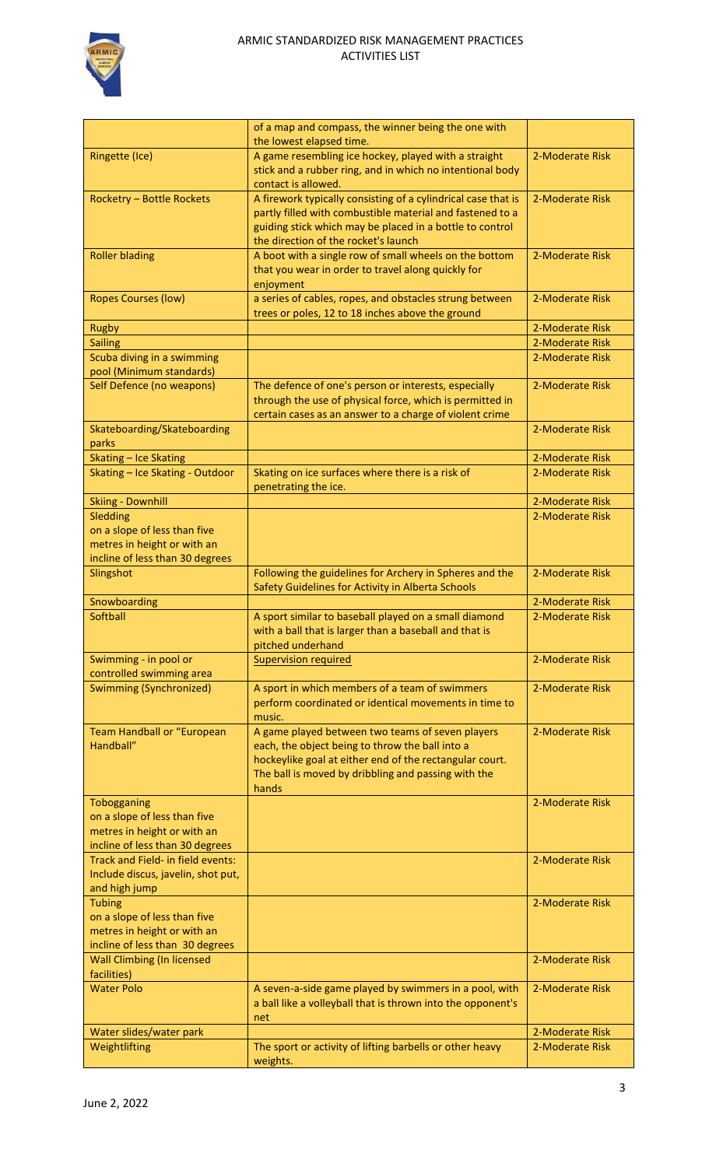

|                                    | of a map and compass, the winner being the one with<br>the lowest elapsed time. |                 |
|------------------------------------|---------------------------------------------------------------------------------|-----------------|
| <b>Ringette (Ice)</b>              | A game resembling ice hockey, played with a straight                            | 2-Moderate Risk |
|                                    |                                                                                 |                 |
|                                    | stick and a rubber ring, and in which no intentional body                       |                 |
|                                    | contact is allowed.                                                             |                 |
| <b>Rocketry - Bottle Rockets</b>   | A firework typically consisting of a cylindrical case that is                   | 2-Moderate Risk |
|                                    | partly filled with combustible material and fastened to a                       |                 |
|                                    | guiding stick which may be placed in a bottle to control                        |                 |
|                                    | the direction of the rocket's launch                                            |                 |
| <b>Roller blading</b>              | A boot with a single row of small wheels on the bottom                          | 2-Moderate Risk |
|                                    | that you wear in order to travel along quickly for                              |                 |
|                                    | enjoyment                                                                       |                 |
| <b>Ropes Courses (low)</b>         | a series of cables, ropes, and obstacles strung between                         | 2-Moderate Risk |
|                                    | trees or poles, 12 to 18 inches above the ground                                |                 |
| Rugby                              |                                                                                 | 2-Moderate Risk |
| <b>Sailing</b>                     |                                                                                 | 2-Moderate Risk |
| Scuba diving in a swimming         |                                                                                 | 2-Moderate Risk |
| pool (Minimum standards)           |                                                                                 |                 |
| Self Defence (no weapons)          | The defence of one's person or interests, especially                            | 2-Moderate Risk |
|                                    | through the use of physical force, which is permitted in                        |                 |
|                                    | certain cases as an answer to a charge of violent crime                         |                 |
| Skateboarding/Skateboarding        |                                                                                 | 2-Moderate Risk |
| parks                              |                                                                                 |                 |
|                                    |                                                                                 |                 |
| <b>Skating - Ice Skating</b>       |                                                                                 | 2-Moderate Risk |
| Skating - Ice Skating - Outdoor    | Skating on ice surfaces where there is a risk of                                | 2-Moderate Risk |
|                                    | penetrating the ice.                                                            |                 |
| <b>Skiing - Downhill</b>           |                                                                                 | 2-Moderate Risk |
| Sledding                           |                                                                                 | 2-Moderate Risk |
| on a slope of less than five       |                                                                                 |                 |
| metres in height or with an        |                                                                                 |                 |
| incline of less than 30 degrees    |                                                                                 |                 |
| Slingshot                          | Following the guidelines for Archery in Spheres and the                         | 2-Moderate Risk |
|                                    | Safety Guidelines for Activity in Alberta Schools                               |                 |
| Snowboarding                       |                                                                                 | 2-Moderate Risk |
| <b>Softball</b>                    | A sport similar to baseball played on a small diamond                           | 2-Moderate Risk |
|                                    | with a ball that is larger than a baseball and that is                          |                 |
|                                    | pitched underhand                                                               |                 |
|                                    |                                                                                 |                 |
|                                    | <b>Supervision required</b>                                                     | 2-Moderate Risk |
| Swimming - in pool or              |                                                                                 |                 |
| controlled swimming area           |                                                                                 | 2-Moderate Risk |
| <b>Swimming (Synchronized)</b>     | A sport in which members of a team of swimmers                                  |                 |
|                                    | perform coordinated or identical movements in time to                           |                 |
|                                    | music.                                                                          |                 |
| Team Handball or "European         | A game played between two teams of seven players                                | 2-Moderate Risk |
| Handball"                          | each, the object being to throw the ball into a                                 |                 |
|                                    | hockeylike goal at either end of the rectangular court.                         |                 |
|                                    | The ball is moved by dribbling and passing with the                             |                 |
|                                    | hands                                                                           |                 |
| Tobogganing                        |                                                                                 | 2-Moderate Risk |
| on a slope of less than five       |                                                                                 |                 |
| metres in height or with an        |                                                                                 |                 |
| incline of less than 30 degrees    |                                                                                 |                 |
| Track and Field- in field events:  |                                                                                 | 2-Moderate Risk |
| Include discus, javelin, shot put, |                                                                                 |                 |
| and high jump                      |                                                                                 |                 |
| <b>Tubing</b>                      |                                                                                 | 2-Moderate Risk |
| on a slope of less than five       |                                                                                 |                 |
| metres in height or with an        |                                                                                 |                 |
| incline of less than 30 degrees    |                                                                                 |                 |
| <b>Wall Climbing (In licensed</b>  |                                                                                 | 2-Moderate Risk |
| facilities)                        |                                                                                 |                 |
| <b>Water Polo</b>                  | A seven-a-side game played by swimmers in a pool, with                          | 2-Moderate Risk |
|                                    | a ball like a volleyball that is thrown into the opponent's                     |                 |
|                                    | net                                                                             |                 |
| Water slides/water park            |                                                                                 | 2-Moderate Risk |
| Weightlifting                      | The sport or activity of lifting barbells or other heavy<br>weights.            | 2-Moderate Risk |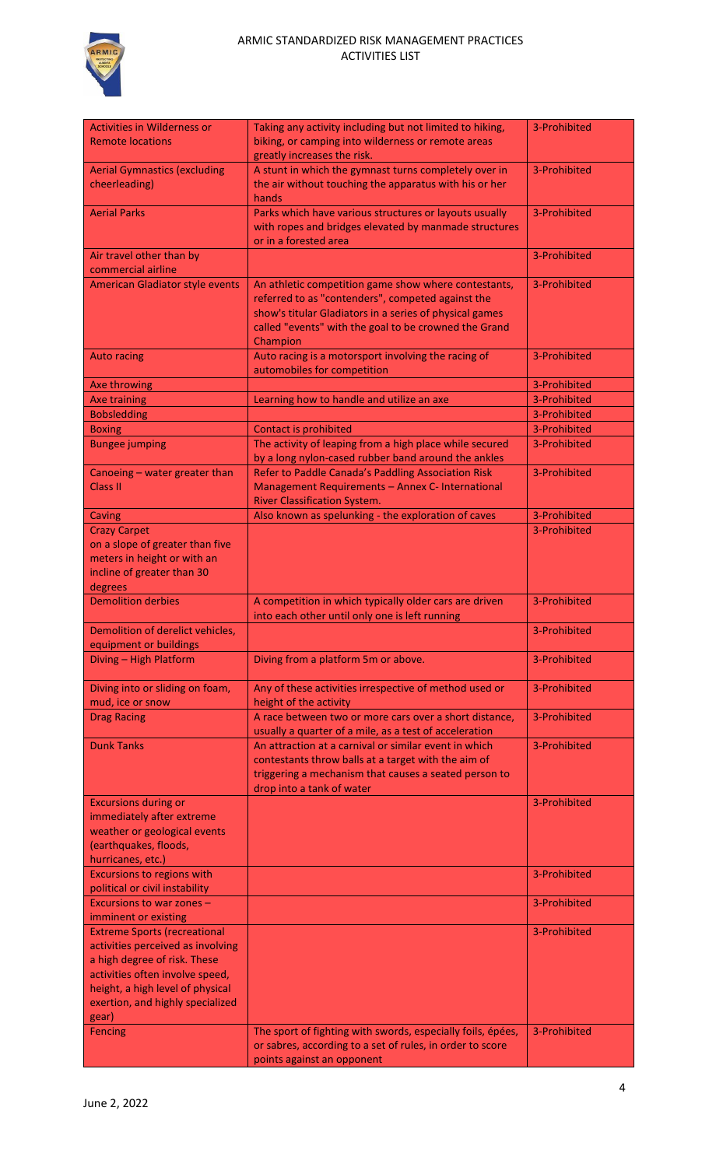

## ARMIC STANDARDIZED RISK MANAGEMENT PRACTICES ACTIVITIES LIST

| <b>Activities in Wilderness or</b>     | Taking any activity including but not limited to hiking,    | 3-Prohibited |
|----------------------------------------|-------------------------------------------------------------|--------------|
| <b>Remote locations</b>                |                                                             |              |
|                                        | biking, or camping into wilderness or remote areas          |              |
|                                        | greatly increases the risk.                                 |              |
| <b>Aerial Gymnastics (excluding</b>    | A stunt in which the gymnast turns completely over in       | 3-Prohibited |
| cheerleading)                          | the air without touching the apparatus with his or her      |              |
|                                        | hands                                                       |              |
| <b>Aerial Parks</b>                    | Parks which have various structures or layouts usually      | 3-Prohibited |
|                                        | with ropes and bridges elevated by manmade structures       |              |
|                                        | or in a forested area                                       |              |
| Air travel other than by               |                                                             | 3-Prohibited |
| commercial airline                     |                                                             |              |
| <b>American Gladiator style events</b> | An athletic competition game show where contestants,        | 3-Prohibited |
|                                        | referred to as "contenders", competed against the           |              |
|                                        | show's titular Gladiators in a series of physical games     |              |
|                                        | called "events" with the goal to be crowned the Grand       |              |
|                                        | Champion                                                    |              |
| <b>Auto racing</b>                     | Auto racing is a motorsport involving the racing of         | 3-Prohibited |
|                                        | automobiles for competition                                 |              |
| Axe throwing                           |                                                             | 3-Prohibited |
| <b>Axe training</b>                    | Learning how to handle and utilize an axe                   | 3-Prohibited |
| <b>Bobsledding</b>                     |                                                             | 3-Prohibited |
|                                        |                                                             | 3-Prohibited |
| <b>Boxing</b>                          | <b>Contact is prohibited</b>                                |              |
| <b>Bungee jumping</b>                  | The activity of leaping from a high place while secured     | 3-Prohibited |
|                                        | by a long nylon-cased rubber band around the ankles         |              |
| Canoeing - water greater than          | Refer to Paddle Canada's Paddling Association Risk          | 3-Prohibited |
| <b>Class II</b>                        | Management Requirements - Annex C- International            |              |
|                                        | <b>River Classification System.</b>                         |              |
| Caving                                 | Also known as spelunking - the exploration of caves         | 3-Prohibited |
| <b>Crazy Carpet</b>                    |                                                             | 3-Prohibited |
| on a slope of greater than five        |                                                             |              |
| meters in height or with an            |                                                             |              |
| incline of greater than 30             |                                                             |              |
| degrees                                |                                                             |              |
| <b>Demolition derbies</b>              | A competition in which typically older cars are driven      | 3-Prohibited |
|                                        | into each other until only one is left running              |              |
| Demolition of derelict vehicles,       |                                                             | 3-Prohibited |
| equipment or buildings                 |                                                             |              |
| Diving - High Platform                 | Diving from a platform 5m or above.                         | 3-Prohibited |
|                                        |                                                             |              |
| Diving into or sliding on foam,        | Any of these activities irrespective of method used or      | 3-Prohibited |
| mud, ice or snow                       | height of the activity                                      |              |
| <b>Drag Racing</b>                     | A race between two or more cars over a short distance,      | 3-Prohibited |
|                                        | usually a quarter of a mile, as a test of acceleration      |              |
| <b>Dunk Tanks</b>                      | An attraction at a carnival or similar event in which       | 3-Prohibited |
|                                        |                                                             |              |
|                                        | contestants throw balls at a target with the aim of         |              |
|                                        | triggering a mechanism that causes a seated person to       |              |
|                                        | drop into a tank of water                                   |              |
| <b>Excursions during or</b>            |                                                             | 3-Prohibited |
| immediately after extreme              |                                                             |              |
| weather or geological events           |                                                             |              |
| (earthquakes, floods,                  |                                                             |              |
| hurricanes, etc.)                      |                                                             |              |
| <b>Excursions to regions with</b>      |                                                             | 3-Prohibited |
| political or civil instability         |                                                             |              |
| Excursions to war zones -              |                                                             | 3-Prohibited |
| imminent or existing                   |                                                             |              |
| <b>Extreme Sports (recreational</b>    |                                                             | 3-Prohibited |
| activities perceived as involving      |                                                             |              |
| a high degree of risk. These           |                                                             |              |
| activities often involve speed,        |                                                             |              |
| height, a high level of physical       |                                                             |              |
| exertion, and highly specialized       |                                                             |              |
| gear)                                  |                                                             |              |
| <b>Fencing</b>                         | The sport of fighting with swords, especially foils, épées, | 3-Prohibited |
|                                        | or sabres, according to a set of rules, in order to score   |              |
|                                        | points against an opponent                                  |              |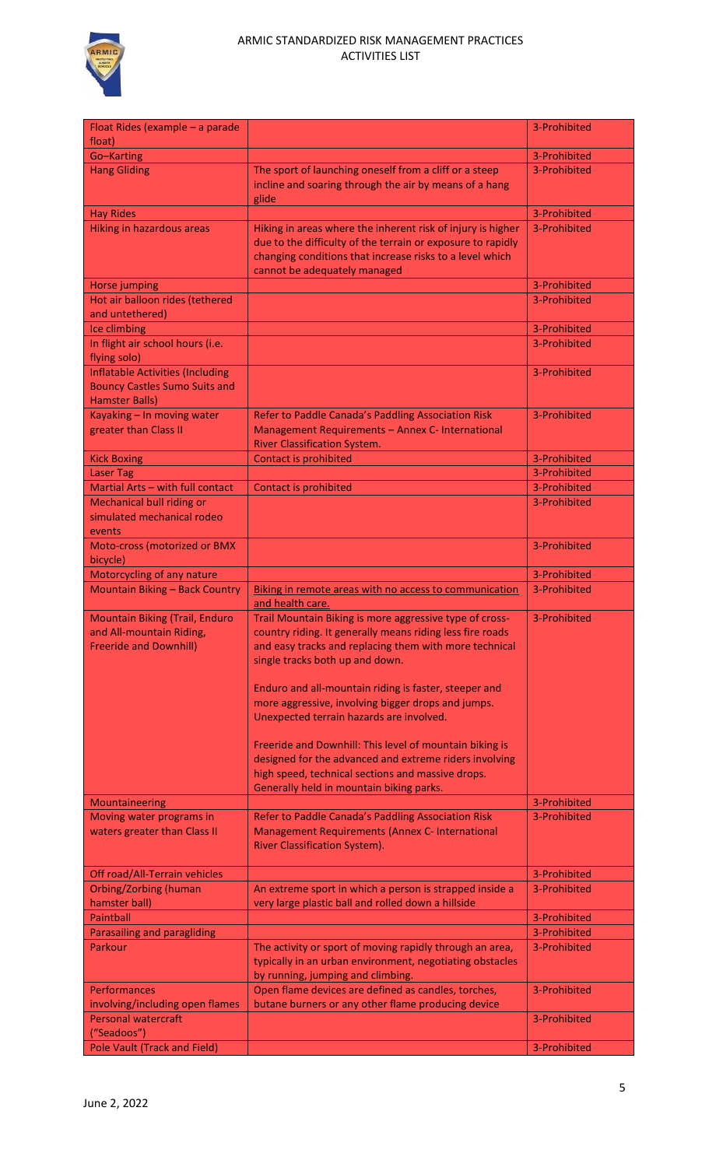

| Float Rides (example - a parade                                                                          |                                                                                                                                                                                                                        | 3-Prohibited |
|----------------------------------------------------------------------------------------------------------|------------------------------------------------------------------------------------------------------------------------------------------------------------------------------------------------------------------------|--------------|
| float)<br>Go-Karting                                                                                     |                                                                                                                                                                                                                        | 3-Prohibited |
| <b>Hang Gliding</b>                                                                                      | The sport of launching oneself from a cliff or a steep<br>incline and soaring through the air by means of a hang<br>glide                                                                                              | 3-Prohibited |
| <b>Hay Rides</b>                                                                                         |                                                                                                                                                                                                                        | 3-Prohibited |
| <b>Hiking in hazardous areas</b>                                                                         | Hiking in areas where the inherent risk of injury is higher<br>due to the difficulty of the terrain or exposure to rapidly<br>changing conditions that increase risks to a level which<br>cannot be adequately managed | 3-Prohibited |
| Horse jumping                                                                                            |                                                                                                                                                                                                                        | 3-Prohibited |
| Hot air balloon rides (tethered<br>and untethered)                                                       |                                                                                                                                                                                                                        | 3-Prohibited |
| Ice climbing                                                                                             |                                                                                                                                                                                                                        | 3-Prohibited |
| In flight air school hours (i.e.<br>flying solo)                                                         |                                                                                                                                                                                                                        | 3-Prohibited |
| <b>Inflatable Activities (Including</b><br><b>Bouncy Castles Sumo Suits and</b><br><b>Hamster Balls)</b> |                                                                                                                                                                                                                        | 3-Prohibited |
| Kayaking - In moving water<br>greater than Class II                                                      | Refer to Paddle Canada's Paddling Association Risk<br>Management Requirements - Annex C- International<br><b>River Classification System.</b>                                                                          | 3-Prohibited |
| <b>Kick Boxing</b>                                                                                       | Contact is prohibited                                                                                                                                                                                                  | 3-Prohibited |
| <b>Laser Tag</b>                                                                                         |                                                                                                                                                                                                                        | 3-Prohibited |
| Martial Arts - with full contact                                                                         | Contact is prohibited                                                                                                                                                                                                  | 3-Prohibited |
| <b>Mechanical bull riding or</b><br>simulated mechanical rodeo<br>events                                 |                                                                                                                                                                                                                        | 3-Prohibited |
| Moto-cross (motorized or BMX<br>bicycle)                                                                 |                                                                                                                                                                                                                        | 3-Prohibited |
| Motorcycling of any nature                                                                               |                                                                                                                                                                                                                        | 3-Prohibited |
| <b>Mountain Biking - Back Country</b>                                                                    | Biking in remote areas with no access to communication<br>and health care.                                                                                                                                             | 3-Prohibited |
| <b>Mountain Biking (Trail, Enduro</b><br>and All-mountain Riding,<br><b>Freeride and Downhill)</b>       | Trail Mountain Biking is more aggressive type of cross-<br>country riding. It generally means riding less fire roads<br>and easy tracks and replacing them with more technical<br>single tracks both up and down.      | 3-Prohibited |
|                                                                                                          | Enduro and all-mountain riding is faster, steeper and<br>more aggressive, involving bigger drops and jumps.<br>Unexpected terrain hazards are involved.                                                                |              |
|                                                                                                          | Freeride and Downhill: This level of mountain biking is<br>designed for the advanced and extreme riders involving<br>high speed, technical sections and massive drops.<br>Generally held in mountain biking parks.     |              |
| Mountaineering                                                                                           |                                                                                                                                                                                                                        | 3-Prohibited |
| Moving water programs in<br>waters greater than Class II                                                 | Refer to Paddle Canada's Paddling Association Risk<br>Management Requirements (Annex C- International<br><b>River Classification System).</b>                                                                          | 3-Prohibited |
| Off road/All-Terrain vehicles                                                                            |                                                                                                                                                                                                                        | 3-Prohibited |
| <b>Orbing/Zorbing (human</b><br>hamster ball)                                                            | An extreme sport in which a person is strapped inside a<br>very large plastic ball and rolled down a hillside                                                                                                          | 3-Prohibited |
| <b>Paintball</b>                                                                                         |                                                                                                                                                                                                                        | 3-Prohibited |
| Parasailing and paragliding                                                                              |                                                                                                                                                                                                                        | 3-Prohibited |
| Parkour                                                                                                  | The activity or sport of moving rapidly through an area,<br>typically in an urban environment, negotiating obstacles<br>by running, jumping and climbing.                                                              | 3-Prohibited |
| <b>Performances</b><br>involving/including open flames                                                   | Open flame devices are defined as candles, torches,<br>butane burners or any other flame producing device                                                                                                              | 3-Prohibited |
| <b>Personal watercraft</b><br>"Seadoos")                                                                 |                                                                                                                                                                                                                        | 3-Prohibited |
| <b>Pole Vault (Track and Field)</b>                                                                      |                                                                                                                                                                                                                        | 3-Prohibited |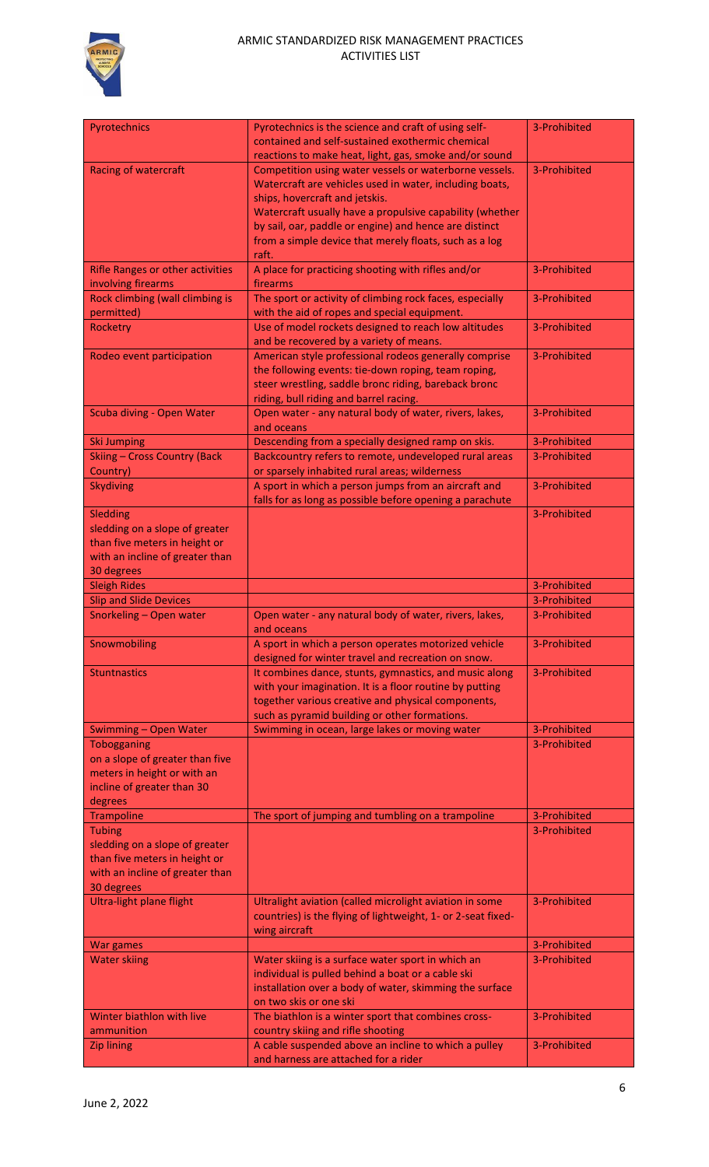

| Pyrotechnics<br>Pyrotechnics is the science and craft of using self-<br>3-Prohibited<br>contained and self-sustained exothermic chemical<br>reactions to make heat, light, gas, smoke and/or sound<br><b>Racing of watercraft</b><br>Competition using water vessels or waterborne vessels.<br>3-Prohibited<br>Watercraft are vehicles used in water, including boats,<br>ships, hovercraft and jetskis.<br>Watercraft usually have a propulsive capability (whether<br>by sail, oar, paddle or engine) and hence are distinct<br>from a simple device that merely floats, such as a log<br>raft.<br>A place for practicing shooting with rifles and/or<br>3-Prohibited<br><b>Rifle Ranges or other activities</b><br>firearms<br>involving firearms<br>Rock climbing (wall climbing is<br>The sport or activity of climbing rock faces, especially<br>3-Prohibited<br>permitted)<br>with the aid of ropes and special equipment.<br>Use of model rockets designed to reach low altitudes<br>3-Prohibited<br>Rocketry<br>and be recovered by a variety of means.<br>American style professional rodeos generally comprise<br>3-Prohibited<br>Rodeo event participation<br>the following events: tie-down roping, team roping,<br>steer wrestling, saddle bronc riding, bareback bronc<br>riding, bull riding and barrel racing.<br>Open water - any natural body of water, rivers, lakes,<br>3-Prohibited<br>Scuba diving - Open Water<br>and oceans<br>Descending from a specially designed ramp on skis.<br>3-Prohibited<br><b>Ski Jumping</b><br>Backcountry refers to remote, undeveloped rural areas<br><b>Skiing - Cross Country (Back</b><br>3-Prohibited<br>or sparsely inhabited rural areas; wilderness<br>Country)<br>A sport in which a person jumps from an aircraft and<br>3-Prohibited<br><b>Skydiving</b><br>falls for as long as possible before opening a parachute<br>Sledding<br>3-Prohibited<br>sledding on a slope of greater<br>than five meters in height or<br>with an incline of greater than<br>30 degrees<br><b>Sleigh Rides</b><br>3-Prohibited<br><b>Slip and Slide Devices</b><br>3-Prohibited<br>Snorkeling - Open water<br>Open water - any natural body of water, rivers, lakes,<br>3-Prohibited<br>and oceans<br>Snowmobiling<br>3-Prohibited<br>A sport in which a person operates motorized vehicle<br>designed for winter travel and recreation on snow.<br>It combines dance, stunts, gymnastics, and music along<br>3-Prohibited<br><b>Stuntnastics</b><br>with your imagination. It is a floor routine by putting<br>together various creative and physical components,<br>such as pyramid building or other formations.<br>Swimming in ocean, large lakes or moving water<br>3-Prohibited<br>Swimming - Open Water<br>3-Prohibited<br>Tobogganing<br>on a slope of greater than five<br>meters in height or with an<br>incline of greater than 30<br>degrees<br><b>Trampoline</b><br>The sport of jumping and tumbling on a trampoline<br>3-Prohibited<br>3-Prohibited<br><b>Tubing</b><br>sledding on a slope of greater<br>than five meters in height or<br>with an incline of greater than<br>30 degrees<br><b>Ultra-light plane flight</b><br>Ultralight aviation (called microlight aviation in some<br>3-Prohibited<br>countries) is the flying of lightweight, 1- or 2-seat fixed-<br>wing aircraft<br>3-Prohibited<br>War games<br><b>Water skiing</b><br>3-Prohibited<br>Water skiing is a surface water sport in which an<br>individual is pulled behind a boat or a cable ski<br>installation over a body of water, skimming the surface<br>on two skis or one ski<br>Winter biathlon with live<br>3-Prohibited<br>The biathlon is a winter sport that combines cross-<br>country skiing and rifle shooting<br>ammunition<br>A cable suspended above an incline to which a pulley<br>3-Prohibited<br><b>Zip lining</b> |                                      |  |
|-----------------------------------------------------------------------------------------------------------------------------------------------------------------------------------------------------------------------------------------------------------------------------------------------------------------------------------------------------------------------------------------------------------------------------------------------------------------------------------------------------------------------------------------------------------------------------------------------------------------------------------------------------------------------------------------------------------------------------------------------------------------------------------------------------------------------------------------------------------------------------------------------------------------------------------------------------------------------------------------------------------------------------------------------------------------------------------------------------------------------------------------------------------------------------------------------------------------------------------------------------------------------------------------------------------------------------------------------------------------------------------------------------------------------------------------------------------------------------------------------------------------------------------------------------------------------------------------------------------------------------------------------------------------------------------------------------------------------------------------------------------------------------------------------------------------------------------------------------------------------------------------------------------------------------------------------------------------------------------------------------------------------------------------------------------------------------------------------------------------------------------------------------------------------------------------------------------------------------------------------------------------------------------------------------------------------------------------------------------------------------------------------------------------------------------------------------------------------------------------------------------------------------------------------------------------------------------------------------------------------------------------------------------------------------------------------------------------------------------------------------------------------------------------------------------------------------------------------------------------------------------------------------------------------------------------------------------------------------------------------------------------------------------------------------------------------------------------------------------------------------------------------------------------------------------------------------------------------------------------------------------------------------------------------------------------------------------------------------------------------------------------------------------------------------------------------------------------------------------------------------------------------------------------------------------------------------------------------------------------------------------------------------------------------------------------------------------------------------------------------------------------------------------------------------------------------------------------------------------------------------|--------------------------------------|--|
|                                                                                                                                                                                                                                                                                                                                                                                                                                                                                                                                                                                                                                                                                                                                                                                                                                                                                                                                                                                                                                                                                                                                                                                                                                                                                                                                                                                                                                                                                                                                                                                                                                                                                                                                                                                                                                                                                                                                                                                                                                                                                                                                                                                                                                                                                                                                                                                                                                                                                                                                                                                                                                                                                                                                                                                                                                                                                                                                                                                                                                                                                                                                                                                                                                                                                                                                                                                                                                                                                                                                                                                                                                                                                                                                                                                                                                                                             |                                      |  |
|                                                                                                                                                                                                                                                                                                                                                                                                                                                                                                                                                                                                                                                                                                                                                                                                                                                                                                                                                                                                                                                                                                                                                                                                                                                                                                                                                                                                                                                                                                                                                                                                                                                                                                                                                                                                                                                                                                                                                                                                                                                                                                                                                                                                                                                                                                                                                                                                                                                                                                                                                                                                                                                                                                                                                                                                                                                                                                                                                                                                                                                                                                                                                                                                                                                                                                                                                                                                                                                                                                                                                                                                                                                                                                                                                                                                                                                                             |                                      |  |
|                                                                                                                                                                                                                                                                                                                                                                                                                                                                                                                                                                                                                                                                                                                                                                                                                                                                                                                                                                                                                                                                                                                                                                                                                                                                                                                                                                                                                                                                                                                                                                                                                                                                                                                                                                                                                                                                                                                                                                                                                                                                                                                                                                                                                                                                                                                                                                                                                                                                                                                                                                                                                                                                                                                                                                                                                                                                                                                                                                                                                                                                                                                                                                                                                                                                                                                                                                                                                                                                                                                                                                                                                                                                                                                                                                                                                                                                             |                                      |  |
|                                                                                                                                                                                                                                                                                                                                                                                                                                                                                                                                                                                                                                                                                                                                                                                                                                                                                                                                                                                                                                                                                                                                                                                                                                                                                                                                                                                                                                                                                                                                                                                                                                                                                                                                                                                                                                                                                                                                                                                                                                                                                                                                                                                                                                                                                                                                                                                                                                                                                                                                                                                                                                                                                                                                                                                                                                                                                                                                                                                                                                                                                                                                                                                                                                                                                                                                                                                                                                                                                                                                                                                                                                                                                                                                                                                                                                                                             |                                      |  |
|                                                                                                                                                                                                                                                                                                                                                                                                                                                                                                                                                                                                                                                                                                                                                                                                                                                                                                                                                                                                                                                                                                                                                                                                                                                                                                                                                                                                                                                                                                                                                                                                                                                                                                                                                                                                                                                                                                                                                                                                                                                                                                                                                                                                                                                                                                                                                                                                                                                                                                                                                                                                                                                                                                                                                                                                                                                                                                                                                                                                                                                                                                                                                                                                                                                                                                                                                                                                                                                                                                                                                                                                                                                                                                                                                                                                                                                                             |                                      |  |
|                                                                                                                                                                                                                                                                                                                                                                                                                                                                                                                                                                                                                                                                                                                                                                                                                                                                                                                                                                                                                                                                                                                                                                                                                                                                                                                                                                                                                                                                                                                                                                                                                                                                                                                                                                                                                                                                                                                                                                                                                                                                                                                                                                                                                                                                                                                                                                                                                                                                                                                                                                                                                                                                                                                                                                                                                                                                                                                                                                                                                                                                                                                                                                                                                                                                                                                                                                                                                                                                                                                                                                                                                                                                                                                                                                                                                                                                             |                                      |  |
|                                                                                                                                                                                                                                                                                                                                                                                                                                                                                                                                                                                                                                                                                                                                                                                                                                                                                                                                                                                                                                                                                                                                                                                                                                                                                                                                                                                                                                                                                                                                                                                                                                                                                                                                                                                                                                                                                                                                                                                                                                                                                                                                                                                                                                                                                                                                                                                                                                                                                                                                                                                                                                                                                                                                                                                                                                                                                                                                                                                                                                                                                                                                                                                                                                                                                                                                                                                                                                                                                                                                                                                                                                                                                                                                                                                                                                                                             |                                      |  |
|                                                                                                                                                                                                                                                                                                                                                                                                                                                                                                                                                                                                                                                                                                                                                                                                                                                                                                                                                                                                                                                                                                                                                                                                                                                                                                                                                                                                                                                                                                                                                                                                                                                                                                                                                                                                                                                                                                                                                                                                                                                                                                                                                                                                                                                                                                                                                                                                                                                                                                                                                                                                                                                                                                                                                                                                                                                                                                                                                                                                                                                                                                                                                                                                                                                                                                                                                                                                                                                                                                                                                                                                                                                                                                                                                                                                                                                                             |                                      |  |
|                                                                                                                                                                                                                                                                                                                                                                                                                                                                                                                                                                                                                                                                                                                                                                                                                                                                                                                                                                                                                                                                                                                                                                                                                                                                                                                                                                                                                                                                                                                                                                                                                                                                                                                                                                                                                                                                                                                                                                                                                                                                                                                                                                                                                                                                                                                                                                                                                                                                                                                                                                                                                                                                                                                                                                                                                                                                                                                                                                                                                                                                                                                                                                                                                                                                                                                                                                                                                                                                                                                                                                                                                                                                                                                                                                                                                                                                             |                                      |  |
|                                                                                                                                                                                                                                                                                                                                                                                                                                                                                                                                                                                                                                                                                                                                                                                                                                                                                                                                                                                                                                                                                                                                                                                                                                                                                                                                                                                                                                                                                                                                                                                                                                                                                                                                                                                                                                                                                                                                                                                                                                                                                                                                                                                                                                                                                                                                                                                                                                                                                                                                                                                                                                                                                                                                                                                                                                                                                                                                                                                                                                                                                                                                                                                                                                                                                                                                                                                                                                                                                                                                                                                                                                                                                                                                                                                                                                                                             |                                      |  |
|                                                                                                                                                                                                                                                                                                                                                                                                                                                                                                                                                                                                                                                                                                                                                                                                                                                                                                                                                                                                                                                                                                                                                                                                                                                                                                                                                                                                                                                                                                                                                                                                                                                                                                                                                                                                                                                                                                                                                                                                                                                                                                                                                                                                                                                                                                                                                                                                                                                                                                                                                                                                                                                                                                                                                                                                                                                                                                                                                                                                                                                                                                                                                                                                                                                                                                                                                                                                                                                                                                                                                                                                                                                                                                                                                                                                                                                                             |                                      |  |
|                                                                                                                                                                                                                                                                                                                                                                                                                                                                                                                                                                                                                                                                                                                                                                                                                                                                                                                                                                                                                                                                                                                                                                                                                                                                                                                                                                                                                                                                                                                                                                                                                                                                                                                                                                                                                                                                                                                                                                                                                                                                                                                                                                                                                                                                                                                                                                                                                                                                                                                                                                                                                                                                                                                                                                                                                                                                                                                                                                                                                                                                                                                                                                                                                                                                                                                                                                                                                                                                                                                                                                                                                                                                                                                                                                                                                                                                             |                                      |  |
|                                                                                                                                                                                                                                                                                                                                                                                                                                                                                                                                                                                                                                                                                                                                                                                                                                                                                                                                                                                                                                                                                                                                                                                                                                                                                                                                                                                                                                                                                                                                                                                                                                                                                                                                                                                                                                                                                                                                                                                                                                                                                                                                                                                                                                                                                                                                                                                                                                                                                                                                                                                                                                                                                                                                                                                                                                                                                                                                                                                                                                                                                                                                                                                                                                                                                                                                                                                                                                                                                                                                                                                                                                                                                                                                                                                                                                                                             |                                      |  |
|                                                                                                                                                                                                                                                                                                                                                                                                                                                                                                                                                                                                                                                                                                                                                                                                                                                                                                                                                                                                                                                                                                                                                                                                                                                                                                                                                                                                                                                                                                                                                                                                                                                                                                                                                                                                                                                                                                                                                                                                                                                                                                                                                                                                                                                                                                                                                                                                                                                                                                                                                                                                                                                                                                                                                                                                                                                                                                                                                                                                                                                                                                                                                                                                                                                                                                                                                                                                                                                                                                                                                                                                                                                                                                                                                                                                                                                                             |                                      |  |
|                                                                                                                                                                                                                                                                                                                                                                                                                                                                                                                                                                                                                                                                                                                                                                                                                                                                                                                                                                                                                                                                                                                                                                                                                                                                                                                                                                                                                                                                                                                                                                                                                                                                                                                                                                                                                                                                                                                                                                                                                                                                                                                                                                                                                                                                                                                                                                                                                                                                                                                                                                                                                                                                                                                                                                                                                                                                                                                                                                                                                                                                                                                                                                                                                                                                                                                                                                                                                                                                                                                                                                                                                                                                                                                                                                                                                                                                             |                                      |  |
|                                                                                                                                                                                                                                                                                                                                                                                                                                                                                                                                                                                                                                                                                                                                                                                                                                                                                                                                                                                                                                                                                                                                                                                                                                                                                                                                                                                                                                                                                                                                                                                                                                                                                                                                                                                                                                                                                                                                                                                                                                                                                                                                                                                                                                                                                                                                                                                                                                                                                                                                                                                                                                                                                                                                                                                                                                                                                                                                                                                                                                                                                                                                                                                                                                                                                                                                                                                                                                                                                                                                                                                                                                                                                                                                                                                                                                                                             |                                      |  |
|                                                                                                                                                                                                                                                                                                                                                                                                                                                                                                                                                                                                                                                                                                                                                                                                                                                                                                                                                                                                                                                                                                                                                                                                                                                                                                                                                                                                                                                                                                                                                                                                                                                                                                                                                                                                                                                                                                                                                                                                                                                                                                                                                                                                                                                                                                                                                                                                                                                                                                                                                                                                                                                                                                                                                                                                                                                                                                                                                                                                                                                                                                                                                                                                                                                                                                                                                                                                                                                                                                                                                                                                                                                                                                                                                                                                                                                                             |                                      |  |
|                                                                                                                                                                                                                                                                                                                                                                                                                                                                                                                                                                                                                                                                                                                                                                                                                                                                                                                                                                                                                                                                                                                                                                                                                                                                                                                                                                                                                                                                                                                                                                                                                                                                                                                                                                                                                                                                                                                                                                                                                                                                                                                                                                                                                                                                                                                                                                                                                                                                                                                                                                                                                                                                                                                                                                                                                                                                                                                                                                                                                                                                                                                                                                                                                                                                                                                                                                                                                                                                                                                                                                                                                                                                                                                                                                                                                                                                             |                                      |  |
|                                                                                                                                                                                                                                                                                                                                                                                                                                                                                                                                                                                                                                                                                                                                                                                                                                                                                                                                                                                                                                                                                                                                                                                                                                                                                                                                                                                                                                                                                                                                                                                                                                                                                                                                                                                                                                                                                                                                                                                                                                                                                                                                                                                                                                                                                                                                                                                                                                                                                                                                                                                                                                                                                                                                                                                                                                                                                                                                                                                                                                                                                                                                                                                                                                                                                                                                                                                                                                                                                                                                                                                                                                                                                                                                                                                                                                                                             |                                      |  |
|                                                                                                                                                                                                                                                                                                                                                                                                                                                                                                                                                                                                                                                                                                                                                                                                                                                                                                                                                                                                                                                                                                                                                                                                                                                                                                                                                                                                                                                                                                                                                                                                                                                                                                                                                                                                                                                                                                                                                                                                                                                                                                                                                                                                                                                                                                                                                                                                                                                                                                                                                                                                                                                                                                                                                                                                                                                                                                                                                                                                                                                                                                                                                                                                                                                                                                                                                                                                                                                                                                                                                                                                                                                                                                                                                                                                                                                                             |                                      |  |
|                                                                                                                                                                                                                                                                                                                                                                                                                                                                                                                                                                                                                                                                                                                                                                                                                                                                                                                                                                                                                                                                                                                                                                                                                                                                                                                                                                                                                                                                                                                                                                                                                                                                                                                                                                                                                                                                                                                                                                                                                                                                                                                                                                                                                                                                                                                                                                                                                                                                                                                                                                                                                                                                                                                                                                                                                                                                                                                                                                                                                                                                                                                                                                                                                                                                                                                                                                                                                                                                                                                                                                                                                                                                                                                                                                                                                                                                             |                                      |  |
|                                                                                                                                                                                                                                                                                                                                                                                                                                                                                                                                                                                                                                                                                                                                                                                                                                                                                                                                                                                                                                                                                                                                                                                                                                                                                                                                                                                                                                                                                                                                                                                                                                                                                                                                                                                                                                                                                                                                                                                                                                                                                                                                                                                                                                                                                                                                                                                                                                                                                                                                                                                                                                                                                                                                                                                                                                                                                                                                                                                                                                                                                                                                                                                                                                                                                                                                                                                                                                                                                                                                                                                                                                                                                                                                                                                                                                                                             |                                      |  |
|                                                                                                                                                                                                                                                                                                                                                                                                                                                                                                                                                                                                                                                                                                                                                                                                                                                                                                                                                                                                                                                                                                                                                                                                                                                                                                                                                                                                                                                                                                                                                                                                                                                                                                                                                                                                                                                                                                                                                                                                                                                                                                                                                                                                                                                                                                                                                                                                                                                                                                                                                                                                                                                                                                                                                                                                                                                                                                                                                                                                                                                                                                                                                                                                                                                                                                                                                                                                                                                                                                                                                                                                                                                                                                                                                                                                                                                                             |                                      |  |
|                                                                                                                                                                                                                                                                                                                                                                                                                                                                                                                                                                                                                                                                                                                                                                                                                                                                                                                                                                                                                                                                                                                                                                                                                                                                                                                                                                                                                                                                                                                                                                                                                                                                                                                                                                                                                                                                                                                                                                                                                                                                                                                                                                                                                                                                                                                                                                                                                                                                                                                                                                                                                                                                                                                                                                                                                                                                                                                                                                                                                                                                                                                                                                                                                                                                                                                                                                                                                                                                                                                                                                                                                                                                                                                                                                                                                                                                             |                                      |  |
|                                                                                                                                                                                                                                                                                                                                                                                                                                                                                                                                                                                                                                                                                                                                                                                                                                                                                                                                                                                                                                                                                                                                                                                                                                                                                                                                                                                                                                                                                                                                                                                                                                                                                                                                                                                                                                                                                                                                                                                                                                                                                                                                                                                                                                                                                                                                                                                                                                                                                                                                                                                                                                                                                                                                                                                                                                                                                                                                                                                                                                                                                                                                                                                                                                                                                                                                                                                                                                                                                                                                                                                                                                                                                                                                                                                                                                                                             |                                      |  |
|                                                                                                                                                                                                                                                                                                                                                                                                                                                                                                                                                                                                                                                                                                                                                                                                                                                                                                                                                                                                                                                                                                                                                                                                                                                                                                                                                                                                                                                                                                                                                                                                                                                                                                                                                                                                                                                                                                                                                                                                                                                                                                                                                                                                                                                                                                                                                                                                                                                                                                                                                                                                                                                                                                                                                                                                                                                                                                                                                                                                                                                                                                                                                                                                                                                                                                                                                                                                                                                                                                                                                                                                                                                                                                                                                                                                                                                                             |                                      |  |
|                                                                                                                                                                                                                                                                                                                                                                                                                                                                                                                                                                                                                                                                                                                                                                                                                                                                                                                                                                                                                                                                                                                                                                                                                                                                                                                                                                                                                                                                                                                                                                                                                                                                                                                                                                                                                                                                                                                                                                                                                                                                                                                                                                                                                                                                                                                                                                                                                                                                                                                                                                                                                                                                                                                                                                                                                                                                                                                                                                                                                                                                                                                                                                                                                                                                                                                                                                                                                                                                                                                                                                                                                                                                                                                                                                                                                                                                             |                                      |  |
|                                                                                                                                                                                                                                                                                                                                                                                                                                                                                                                                                                                                                                                                                                                                                                                                                                                                                                                                                                                                                                                                                                                                                                                                                                                                                                                                                                                                                                                                                                                                                                                                                                                                                                                                                                                                                                                                                                                                                                                                                                                                                                                                                                                                                                                                                                                                                                                                                                                                                                                                                                                                                                                                                                                                                                                                                                                                                                                                                                                                                                                                                                                                                                                                                                                                                                                                                                                                                                                                                                                                                                                                                                                                                                                                                                                                                                                                             |                                      |  |
|                                                                                                                                                                                                                                                                                                                                                                                                                                                                                                                                                                                                                                                                                                                                                                                                                                                                                                                                                                                                                                                                                                                                                                                                                                                                                                                                                                                                                                                                                                                                                                                                                                                                                                                                                                                                                                                                                                                                                                                                                                                                                                                                                                                                                                                                                                                                                                                                                                                                                                                                                                                                                                                                                                                                                                                                                                                                                                                                                                                                                                                                                                                                                                                                                                                                                                                                                                                                                                                                                                                                                                                                                                                                                                                                                                                                                                                                             |                                      |  |
|                                                                                                                                                                                                                                                                                                                                                                                                                                                                                                                                                                                                                                                                                                                                                                                                                                                                                                                                                                                                                                                                                                                                                                                                                                                                                                                                                                                                                                                                                                                                                                                                                                                                                                                                                                                                                                                                                                                                                                                                                                                                                                                                                                                                                                                                                                                                                                                                                                                                                                                                                                                                                                                                                                                                                                                                                                                                                                                                                                                                                                                                                                                                                                                                                                                                                                                                                                                                                                                                                                                                                                                                                                                                                                                                                                                                                                                                             |                                      |  |
|                                                                                                                                                                                                                                                                                                                                                                                                                                                                                                                                                                                                                                                                                                                                                                                                                                                                                                                                                                                                                                                                                                                                                                                                                                                                                                                                                                                                                                                                                                                                                                                                                                                                                                                                                                                                                                                                                                                                                                                                                                                                                                                                                                                                                                                                                                                                                                                                                                                                                                                                                                                                                                                                                                                                                                                                                                                                                                                                                                                                                                                                                                                                                                                                                                                                                                                                                                                                                                                                                                                                                                                                                                                                                                                                                                                                                                                                             |                                      |  |
|                                                                                                                                                                                                                                                                                                                                                                                                                                                                                                                                                                                                                                                                                                                                                                                                                                                                                                                                                                                                                                                                                                                                                                                                                                                                                                                                                                                                                                                                                                                                                                                                                                                                                                                                                                                                                                                                                                                                                                                                                                                                                                                                                                                                                                                                                                                                                                                                                                                                                                                                                                                                                                                                                                                                                                                                                                                                                                                                                                                                                                                                                                                                                                                                                                                                                                                                                                                                                                                                                                                                                                                                                                                                                                                                                                                                                                                                             |                                      |  |
|                                                                                                                                                                                                                                                                                                                                                                                                                                                                                                                                                                                                                                                                                                                                                                                                                                                                                                                                                                                                                                                                                                                                                                                                                                                                                                                                                                                                                                                                                                                                                                                                                                                                                                                                                                                                                                                                                                                                                                                                                                                                                                                                                                                                                                                                                                                                                                                                                                                                                                                                                                                                                                                                                                                                                                                                                                                                                                                                                                                                                                                                                                                                                                                                                                                                                                                                                                                                                                                                                                                                                                                                                                                                                                                                                                                                                                                                             |                                      |  |
|                                                                                                                                                                                                                                                                                                                                                                                                                                                                                                                                                                                                                                                                                                                                                                                                                                                                                                                                                                                                                                                                                                                                                                                                                                                                                                                                                                                                                                                                                                                                                                                                                                                                                                                                                                                                                                                                                                                                                                                                                                                                                                                                                                                                                                                                                                                                                                                                                                                                                                                                                                                                                                                                                                                                                                                                                                                                                                                                                                                                                                                                                                                                                                                                                                                                                                                                                                                                                                                                                                                                                                                                                                                                                                                                                                                                                                                                             |                                      |  |
|                                                                                                                                                                                                                                                                                                                                                                                                                                                                                                                                                                                                                                                                                                                                                                                                                                                                                                                                                                                                                                                                                                                                                                                                                                                                                                                                                                                                                                                                                                                                                                                                                                                                                                                                                                                                                                                                                                                                                                                                                                                                                                                                                                                                                                                                                                                                                                                                                                                                                                                                                                                                                                                                                                                                                                                                                                                                                                                                                                                                                                                                                                                                                                                                                                                                                                                                                                                                                                                                                                                                                                                                                                                                                                                                                                                                                                                                             |                                      |  |
|                                                                                                                                                                                                                                                                                                                                                                                                                                                                                                                                                                                                                                                                                                                                                                                                                                                                                                                                                                                                                                                                                                                                                                                                                                                                                                                                                                                                                                                                                                                                                                                                                                                                                                                                                                                                                                                                                                                                                                                                                                                                                                                                                                                                                                                                                                                                                                                                                                                                                                                                                                                                                                                                                                                                                                                                                                                                                                                                                                                                                                                                                                                                                                                                                                                                                                                                                                                                                                                                                                                                                                                                                                                                                                                                                                                                                                                                             |                                      |  |
|                                                                                                                                                                                                                                                                                                                                                                                                                                                                                                                                                                                                                                                                                                                                                                                                                                                                                                                                                                                                                                                                                                                                                                                                                                                                                                                                                                                                                                                                                                                                                                                                                                                                                                                                                                                                                                                                                                                                                                                                                                                                                                                                                                                                                                                                                                                                                                                                                                                                                                                                                                                                                                                                                                                                                                                                                                                                                                                                                                                                                                                                                                                                                                                                                                                                                                                                                                                                                                                                                                                                                                                                                                                                                                                                                                                                                                                                             |                                      |  |
|                                                                                                                                                                                                                                                                                                                                                                                                                                                                                                                                                                                                                                                                                                                                                                                                                                                                                                                                                                                                                                                                                                                                                                                                                                                                                                                                                                                                                                                                                                                                                                                                                                                                                                                                                                                                                                                                                                                                                                                                                                                                                                                                                                                                                                                                                                                                                                                                                                                                                                                                                                                                                                                                                                                                                                                                                                                                                                                                                                                                                                                                                                                                                                                                                                                                                                                                                                                                                                                                                                                                                                                                                                                                                                                                                                                                                                                                             |                                      |  |
|                                                                                                                                                                                                                                                                                                                                                                                                                                                                                                                                                                                                                                                                                                                                                                                                                                                                                                                                                                                                                                                                                                                                                                                                                                                                                                                                                                                                                                                                                                                                                                                                                                                                                                                                                                                                                                                                                                                                                                                                                                                                                                                                                                                                                                                                                                                                                                                                                                                                                                                                                                                                                                                                                                                                                                                                                                                                                                                                                                                                                                                                                                                                                                                                                                                                                                                                                                                                                                                                                                                                                                                                                                                                                                                                                                                                                                                                             |                                      |  |
|                                                                                                                                                                                                                                                                                                                                                                                                                                                                                                                                                                                                                                                                                                                                                                                                                                                                                                                                                                                                                                                                                                                                                                                                                                                                                                                                                                                                                                                                                                                                                                                                                                                                                                                                                                                                                                                                                                                                                                                                                                                                                                                                                                                                                                                                                                                                                                                                                                                                                                                                                                                                                                                                                                                                                                                                                                                                                                                                                                                                                                                                                                                                                                                                                                                                                                                                                                                                                                                                                                                                                                                                                                                                                                                                                                                                                                                                             |                                      |  |
|                                                                                                                                                                                                                                                                                                                                                                                                                                                                                                                                                                                                                                                                                                                                                                                                                                                                                                                                                                                                                                                                                                                                                                                                                                                                                                                                                                                                                                                                                                                                                                                                                                                                                                                                                                                                                                                                                                                                                                                                                                                                                                                                                                                                                                                                                                                                                                                                                                                                                                                                                                                                                                                                                                                                                                                                                                                                                                                                                                                                                                                                                                                                                                                                                                                                                                                                                                                                                                                                                                                                                                                                                                                                                                                                                                                                                                                                             |                                      |  |
|                                                                                                                                                                                                                                                                                                                                                                                                                                                                                                                                                                                                                                                                                                                                                                                                                                                                                                                                                                                                                                                                                                                                                                                                                                                                                                                                                                                                                                                                                                                                                                                                                                                                                                                                                                                                                                                                                                                                                                                                                                                                                                                                                                                                                                                                                                                                                                                                                                                                                                                                                                                                                                                                                                                                                                                                                                                                                                                                                                                                                                                                                                                                                                                                                                                                                                                                                                                                                                                                                                                                                                                                                                                                                                                                                                                                                                                                             |                                      |  |
|                                                                                                                                                                                                                                                                                                                                                                                                                                                                                                                                                                                                                                                                                                                                                                                                                                                                                                                                                                                                                                                                                                                                                                                                                                                                                                                                                                                                                                                                                                                                                                                                                                                                                                                                                                                                                                                                                                                                                                                                                                                                                                                                                                                                                                                                                                                                                                                                                                                                                                                                                                                                                                                                                                                                                                                                                                                                                                                                                                                                                                                                                                                                                                                                                                                                                                                                                                                                                                                                                                                                                                                                                                                                                                                                                                                                                                                                             |                                      |  |
|                                                                                                                                                                                                                                                                                                                                                                                                                                                                                                                                                                                                                                                                                                                                                                                                                                                                                                                                                                                                                                                                                                                                                                                                                                                                                                                                                                                                                                                                                                                                                                                                                                                                                                                                                                                                                                                                                                                                                                                                                                                                                                                                                                                                                                                                                                                                                                                                                                                                                                                                                                                                                                                                                                                                                                                                                                                                                                                                                                                                                                                                                                                                                                                                                                                                                                                                                                                                                                                                                                                                                                                                                                                                                                                                                                                                                                                                             |                                      |  |
|                                                                                                                                                                                                                                                                                                                                                                                                                                                                                                                                                                                                                                                                                                                                                                                                                                                                                                                                                                                                                                                                                                                                                                                                                                                                                                                                                                                                                                                                                                                                                                                                                                                                                                                                                                                                                                                                                                                                                                                                                                                                                                                                                                                                                                                                                                                                                                                                                                                                                                                                                                                                                                                                                                                                                                                                                                                                                                                                                                                                                                                                                                                                                                                                                                                                                                                                                                                                                                                                                                                                                                                                                                                                                                                                                                                                                                                                             |                                      |  |
|                                                                                                                                                                                                                                                                                                                                                                                                                                                                                                                                                                                                                                                                                                                                                                                                                                                                                                                                                                                                                                                                                                                                                                                                                                                                                                                                                                                                                                                                                                                                                                                                                                                                                                                                                                                                                                                                                                                                                                                                                                                                                                                                                                                                                                                                                                                                                                                                                                                                                                                                                                                                                                                                                                                                                                                                                                                                                                                                                                                                                                                                                                                                                                                                                                                                                                                                                                                                                                                                                                                                                                                                                                                                                                                                                                                                                                                                             |                                      |  |
|                                                                                                                                                                                                                                                                                                                                                                                                                                                                                                                                                                                                                                                                                                                                                                                                                                                                                                                                                                                                                                                                                                                                                                                                                                                                                                                                                                                                                                                                                                                                                                                                                                                                                                                                                                                                                                                                                                                                                                                                                                                                                                                                                                                                                                                                                                                                                                                                                                                                                                                                                                                                                                                                                                                                                                                                                                                                                                                                                                                                                                                                                                                                                                                                                                                                                                                                                                                                                                                                                                                                                                                                                                                                                                                                                                                                                                                                             |                                      |  |
|                                                                                                                                                                                                                                                                                                                                                                                                                                                                                                                                                                                                                                                                                                                                                                                                                                                                                                                                                                                                                                                                                                                                                                                                                                                                                                                                                                                                                                                                                                                                                                                                                                                                                                                                                                                                                                                                                                                                                                                                                                                                                                                                                                                                                                                                                                                                                                                                                                                                                                                                                                                                                                                                                                                                                                                                                                                                                                                                                                                                                                                                                                                                                                                                                                                                                                                                                                                                                                                                                                                                                                                                                                                                                                                                                                                                                                                                             |                                      |  |
|                                                                                                                                                                                                                                                                                                                                                                                                                                                                                                                                                                                                                                                                                                                                                                                                                                                                                                                                                                                                                                                                                                                                                                                                                                                                                                                                                                                                                                                                                                                                                                                                                                                                                                                                                                                                                                                                                                                                                                                                                                                                                                                                                                                                                                                                                                                                                                                                                                                                                                                                                                                                                                                                                                                                                                                                                                                                                                                                                                                                                                                                                                                                                                                                                                                                                                                                                                                                                                                                                                                                                                                                                                                                                                                                                                                                                                                                             |                                      |  |
|                                                                                                                                                                                                                                                                                                                                                                                                                                                                                                                                                                                                                                                                                                                                                                                                                                                                                                                                                                                                                                                                                                                                                                                                                                                                                                                                                                                                                                                                                                                                                                                                                                                                                                                                                                                                                                                                                                                                                                                                                                                                                                                                                                                                                                                                                                                                                                                                                                                                                                                                                                                                                                                                                                                                                                                                                                                                                                                                                                                                                                                                                                                                                                                                                                                                                                                                                                                                                                                                                                                                                                                                                                                                                                                                                                                                                                                                             |                                      |  |
|                                                                                                                                                                                                                                                                                                                                                                                                                                                                                                                                                                                                                                                                                                                                                                                                                                                                                                                                                                                                                                                                                                                                                                                                                                                                                                                                                                                                                                                                                                                                                                                                                                                                                                                                                                                                                                                                                                                                                                                                                                                                                                                                                                                                                                                                                                                                                                                                                                                                                                                                                                                                                                                                                                                                                                                                                                                                                                                                                                                                                                                                                                                                                                                                                                                                                                                                                                                                                                                                                                                                                                                                                                                                                                                                                                                                                                                                             |                                      |  |
|                                                                                                                                                                                                                                                                                                                                                                                                                                                                                                                                                                                                                                                                                                                                                                                                                                                                                                                                                                                                                                                                                                                                                                                                                                                                                                                                                                                                                                                                                                                                                                                                                                                                                                                                                                                                                                                                                                                                                                                                                                                                                                                                                                                                                                                                                                                                                                                                                                                                                                                                                                                                                                                                                                                                                                                                                                                                                                                                                                                                                                                                                                                                                                                                                                                                                                                                                                                                                                                                                                                                                                                                                                                                                                                                                                                                                                                                             |                                      |  |
|                                                                                                                                                                                                                                                                                                                                                                                                                                                                                                                                                                                                                                                                                                                                                                                                                                                                                                                                                                                                                                                                                                                                                                                                                                                                                                                                                                                                                                                                                                                                                                                                                                                                                                                                                                                                                                                                                                                                                                                                                                                                                                                                                                                                                                                                                                                                                                                                                                                                                                                                                                                                                                                                                                                                                                                                                                                                                                                                                                                                                                                                                                                                                                                                                                                                                                                                                                                                                                                                                                                                                                                                                                                                                                                                                                                                                                                                             |                                      |  |
|                                                                                                                                                                                                                                                                                                                                                                                                                                                                                                                                                                                                                                                                                                                                                                                                                                                                                                                                                                                                                                                                                                                                                                                                                                                                                                                                                                                                                                                                                                                                                                                                                                                                                                                                                                                                                                                                                                                                                                                                                                                                                                                                                                                                                                                                                                                                                                                                                                                                                                                                                                                                                                                                                                                                                                                                                                                                                                                                                                                                                                                                                                                                                                                                                                                                                                                                                                                                                                                                                                                                                                                                                                                                                                                                                                                                                                                                             |                                      |  |
|                                                                                                                                                                                                                                                                                                                                                                                                                                                                                                                                                                                                                                                                                                                                                                                                                                                                                                                                                                                                                                                                                                                                                                                                                                                                                                                                                                                                                                                                                                                                                                                                                                                                                                                                                                                                                                                                                                                                                                                                                                                                                                                                                                                                                                                                                                                                                                                                                                                                                                                                                                                                                                                                                                                                                                                                                                                                                                                                                                                                                                                                                                                                                                                                                                                                                                                                                                                                                                                                                                                                                                                                                                                                                                                                                                                                                                                                             |                                      |  |
|                                                                                                                                                                                                                                                                                                                                                                                                                                                                                                                                                                                                                                                                                                                                                                                                                                                                                                                                                                                                                                                                                                                                                                                                                                                                                                                                                                                                                                                                                                                                                                                                                                                                                                                                                                                                                                                                                                                                                                                                                                                                                                                                                                                                                                                                                                                                                                                                                                                                                                                                                                                                                                                                                                                                                                                                                                                                                                                                                                                                                                                                                                                                                                                                                                                                                                                                                                                                                                                                                                                                                                                                                                                                                                                                                                                                                                                                             |                                      |  |
|                                                                                                                                                                                                                                                                                                                                                                                                                                                                                                                                                                                                                                                                                                                                                                                                                                                                                                                                                                                                                                                                                                                                                                                                                                                                                                                                                                                                                                                                                                                                                                                                                                                                                                                                                                                                                                                                                                                                                                                                                                                                                                                                                                                                                                                                                                                                                                                                                                                                                                                                                                                                                                                                                                                                                                                                                                                                                                                                                                                                                                                                                                                                                                                                                                                                                                                                                                                                                                                                                                                                                                                                                                                                                                                                                                                                                                                                             |                                      |  |
|                                                                                                                                                                                                                                                                                                                                                                                                                                                                                                                                                                                                                                                                                                                                                                                                                                                                                                                                                                                                                                                                                                                                                                                                                                                                                                                                                                                                                                                                                                                                                                                                                                                                                                                                                                                                                                                                                                                                                                                                                                                                                                                                                                                                                                                                                                                                                                                                                                                                                                                                                                                                                                                                                                                                                                                                                                                                                                                                                                                                                                                                                                                                                                                                                                                                                                                                                                                                                                                                                                                                                                                                                                                                                                                                                                                                                                                                             |                                      |  |
|                                                                                                                                                                                                                                                                                                                                                                                                                                                                                                                                                                                                                                                                                                                                                                                                                                                                                                                                                                                                                                                                                                                                                                                                                                                                                                                                                                                                                                                                                                                                                                                                                                                                                                                                                                                                                                                                                                                                                                                                                                                                                                                                                                                                                                                                                                                                                                                                                                                                                                                                                                                                                                                                                                                                                                                                                                                                                                                                                                                                                                                                                                                                                                                                                                                                                                                                                                                                                                                                                                                                                                                                                                                                                                                                                                                                                                                                             |                                      |  |
|                                                                                                                                                                                                                                                                                                                                                                                                                                                                                                                                                                                                                                                                                                                                                                                                                                                                                                                                                                                                                                                                                                                                                                                                                                                                                                                                                                                                                                                                                                                                                                                                                                                                                                                                                                                                                                                                                                                                                                                                                                                                                                                                                                                                                                                                                                                                                                                                                                                                                                                                                                                                                                                                                                                                                                                                                                                                                                                                                                                                                                                                                                                                                                                                                                                                                                                                                                                                                                                                                                                                                                                                                                                                                                                                                                                                                                                                             |                                      |  |
|                                                                                                                                                                                                                                                                                                                                                                                                                                                                                                                                                                                                                                                                                                                                                                                                                                                                                                                                                                                                                                                                                                                                                                                                                                                                                                                                                                                                                                                                                                                                                                                                                                                                                                                                                                                                                                                                                                                                                                                                                                                                                                                                                                                                                                                                                                                                                                                                                                                                                                                                                                                                                                                                                                                                                                                                                                                                                                                                                                                                                                                                                                                                                                                                                                                                                                                                                                                                                                                                                                                                                                                                                                                                                                                                                                                                                                                                             |                                      |  |
|                                                                                                                                                                                                                                                                                                                                                                                                                                                                                                                                                                                                                                                                                                                                                                                                                                                                                                                                                                                                                                                                                                                                                                                                                                                                                                                                                                                                                                                                                                                                                                                                                                                                                                                                                                                                                                                                                                                                                                                                                                                                                                                                                                                                                                                                                                                                                                                                                                                                                                                                                                                                                                                                                                                                                                                                                                                                                                                                                                                                                                                                                                                                                                                                                                                                                                                                                                                                                                                                                                                                                                                                                                                                                                                                                                                                                                                                             |                                      |  |
|                                                                                                                                                                                                                                                                                                                                                                                                                                                                                                                                                                                                                                                                                                                                                                                                                                                                                                                                                                                                                                                                                                                                                                                                                                                                                                                                                                                                                                                                                                                                                                                                                                                                                                                                                                                                                                                                                                                                                                                                                                                                                                                                                                                                                                                                                                                                                                                                                                                                                                                                                                                                                                                                                                                                                                                                                                                                                                                                                                                                                                                                                                                                                                                                                                                                                                                                                                                                                                                                                                                                                                                                                                                                                                                                                                                                                                                                             |                                      |  |
|                                                                                                                                                                                                                                                                                                                                                                                                                                                                                                                                                                                                                                                                                                                                                                                                                                                                                                                                                                                                                                                                                                                                                                                                                                                                                                                                                                                                                                                                                                                                                                                                                                                                                                                                                                                                                                                                                                                                                                                                                                                                                                                                                                                                                                                                                                                                                                                                                                                                                                                                                                                                                                                                                                                                                                                                                                                                                                                                                                                                                                                                                                                                                                                                                                                                                                                                                                                                                                                                                                                                                                                                                                                                                                                                                                                                                                                                             |                                      |  |
|                                                                                                                                                                                                                                                                                                                                                                                                                                                                                                                                                                                                                                                                                                                                                                                                                                                                                                                                                                                                                                                                                                                                                                                                                                                                                                                                                                                                                                                                                                                                                                                                                                                                                                                                                                                                                                                                                                                                                                                                                                                                                                                                                                                                                                                                                                                                                                                                                                                                                                                                                                                                                                                                                                                                                                                                                                                                                                                                                                                                                                                                                                                                                                                                                                                                                                                                                                                                                                                                                                                                                                                                                                                                                                                                                                                                                                                                             |                                      |  |
|                                                                                                                                                                                                                                                                                                                                                                                                                                                                                                                                                                                                                                                                                                                                                                                                                                                                                                                                                                                                                                                                                                                                                                                                                                                                                                                                                                                                                                                                                                                                                                                                                                                                                                                                                                                                                                                                                                                                                                                                                                                                                                                                                                                                                                                                                                                                                                                                                                                                                                                                                                                                                                                                                                                                                                                                                                                                                                                                                                                                                                                                                                                                                                                                                                                                                                                                                                                                                                                                                                                                                                                                                                                                                                                                                                                                                                                                             |                                      |  |
|                                                                                                                                                                                                                                                                                                                                                                                                                                                                                                                                                                                                                                                                                                                                                                                                                                                                                                                                                                                                                                                                                                                                                                                                                                                                                                                                                                                                                                                                                                                                                                                                                                                                                                                                                                                                                                                                                                                                                                                                                                                                                                                                                                                                                                                                                                                                                                                                                                                                                                                                                                                                                                                                                                                                                                                                                                                                                                                                                                                                                                                                                                                                                                                                                                                                                                                                                                                                                                                                                                                                                                                                                                                                                                                                                                                                                                                                             |                                      |  |
|                                                                                                                                                                                                                                                                                                                                                                                                                                                                                                                                                                                                                                                                                                                                                                                                                                                                                                                                                                                                                                                                                                                                                                                                                                                                                                                                                                                                                                                                                                                                                                                                                                                                                                                                                                                                                                                                                                                                                                                                                                                                                                                                                                                                                                                                                                                                                                                                                                                                                                                                                                                                                                                                                                                                                                                                                                                                                                                                                                                                                                                                                                                                                                                                                                                                                                                                                                                                                                                                                                                                                                                                                                                                                                                                                                                                                                                                             |                                      |  |
|                                                                                                                                                                                                                                                                                                                                                                                                                                                                                                                                                                                                                                                                                                                                                                                                                                                                                                                                                                                                                                                                                                                                                                                                                                                                                                                                                                                                                                                                                                                                                                                                                                                                                                                                                                                                                                                                                                                                                                                                                                                                                                                                                                                                                                                                                                                                                                                                                                                                                                                                                                                                                                                                                                                                                                                                                                                                                                                                                                                                                                                                                                                                                                                                                                                                                                                                                                                                                                                                                                                                                                                                                                                                                                                                                                                                                                                                             | and harness are attached for a rider |  |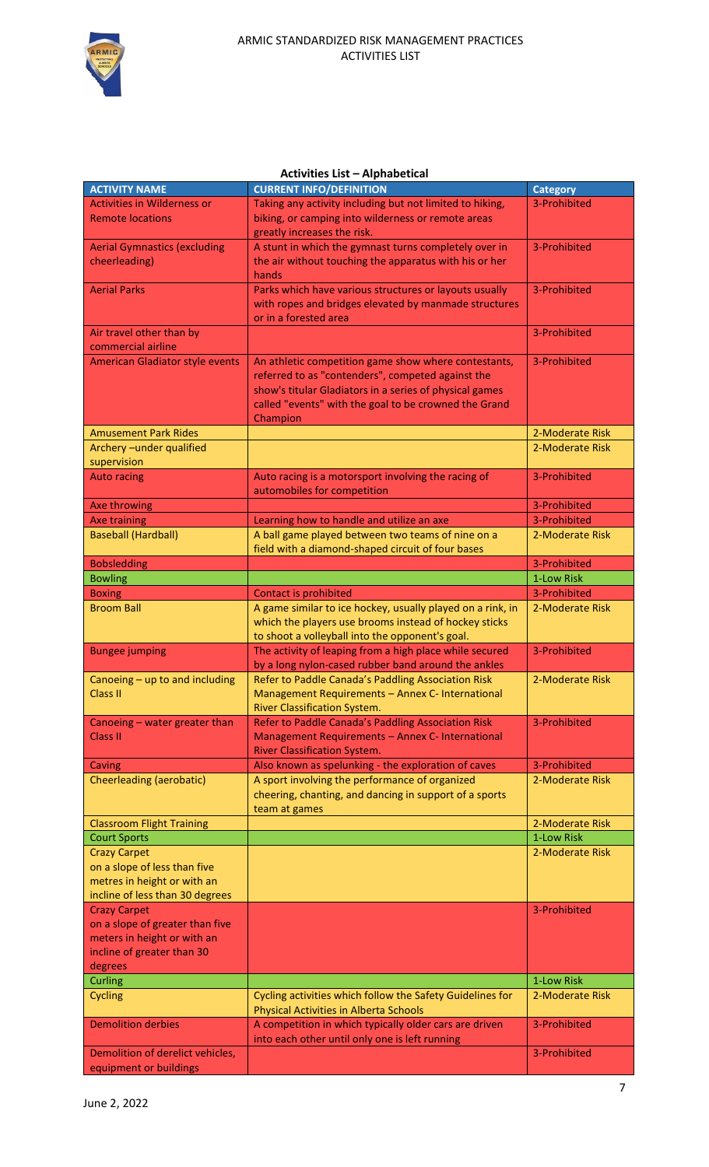

## **Activities List – Alphabetical**

| <b>ACTIVITY NAME</b>                   | <b>CURRENT INFO/DEFINITION</b>                             | <b>Category</b> |
|----------------------------------------|------------------------------------------------------------|-----------------|
| <b>Activities in Wilderness or</b>     | Taking any activity including but not limited to hiking,   | 3-Prohibited    |
| <b>Remote locations</b>                | biking, or camping into wilderness or remote areas         |                 |
|                                        | greatly increases the risk.                                |                 |
| <b>Aerial Gymnastics (excluding</b>    | A stunt in which the gymnast turns completely over in      | 3-Prohibited    |
|                                        |                                                            |                 |
| cheerleading)                          | the air without touching the apparatus with his or her     |                 |
|                                        | hands                                                      |                 |
| <b>Aerial Parks</b>                    | Parks which have various structures or layouts usually     | 3-Prohibited    |
|                                        | with ropes and bridges elevated by manmade structures      |                 |
|                                        | or in a forested area                                      |                 |
| Air travel other than by               |                                                            | 3-Prohibited    |
| commercial airline                     |                                                            |                 |
| <b>American Gladiator style events</b> | An athletic competition game show where contestants,       | 3-Prohibited    |
|                                        | referred to as "contenders", competed against the          |                 |
|                                        | show's titular Gladiators in a series of physical games    |                 |
|                                        | called "events" with the goal to be crowned the Grand      |                 |
|                                        |                                                            |                 |
|                                        | Champion                                                   |                 |
| <b>Amusement Park Rides</b>            |                                                            | 2-Moderate Risk |
| Archery-under qualified                |                                                            | 2-Moderate Risk |
| supervision                            |                                                            |                 |
| <b>Auto racing</b>                     | Auto racing is a motorsport involving the racing of        | 3-Prohibited    |
|                                        | automobiles for competition                                |                 |
| Axe throwing                           |                                                            | 3-Prohibited    |
| <b>Axe training</b>                    | Learning how to handle and utilize an axe                  | 3-Prohibited    |
| <b>Baseball (Hardball)</b>             | A ball game played between two teams of nine on a          | 2-Moderate Risk |
|                                        | field with a diamond-shaped circuit of four bases          |                 |
| <b>Bobsledding</b>                     |                                                            | 3-Prohibited    |
| <b>Bowling</b>                         |                                                            | 1-Low Risk      |
| <b>Boxing</b>                          | Contact is prohibited                                      | 3-Prohibited    |
| <b>Broom Ball</b>                      | A game similar to ice hockey, usually played on a rink, in | 2-Moderate Risk |
|                                        | which the players use brooms instead of hockey sticks      |                 |
|                                        |                                                            |                 |
|                                        | to shoot a volleyball into the opponent's goal.            |                 |
| <b>Bungee jumping</b>                  | The activity of leaping from a high place while secured    | 3-Prohibited    |
|                                        | by a long nylon-cased rubber band around the ankles        |                 |
| Canoeing - up to and including         | Refer to Paddle Canada's Paddling Association Risk         | 2-Moderate Risk |
| <b>Class II</b>                        | Management Requirements - Annex C- International           |                 |
|                                        | River Classification System.                               |                 |
| Canoeing - water greater than          | Refer to Paddle Canada's Paddling Association Risk         | 3-Prohibited    |
| Class II                               | Management Requirements - Annex C- International           |                 |
|                                        | <b>River Classification System.</b>                        |                 |
| Caving                                 | Also known as spelunking - the exploration of caves        | 3-Prohibited    |
| Cheerleading (aerobatic)               | A sport involving the performance of organized             | 2-Moderate Risk |
|                                        | cheering, chanting, and dancing in support of a sports     |                 |
|                                        | team at games                                              |                 |
| <b>Classroom Flight Training</b>       |                                                            | 2-Moderate Risk |
| <b>Court Sports</b>                    |                                                            | 1-Low Risk      |
| <b>Crazy Carpet</b>                    |                                                            | 2-Moderate Risk |
| on a slope of less than five           |                                                            |                 |
| metres in height or with an            |                                                            |                 |
|                                        |                                                            |                 |
| incline of less than 30 degrees        |                                                            |                 |
| <b>Crazy Carpet</b>                    |                                                            | 3-Prohibited    |
| on a slope of greater than five        |                                                            |                 |
| meters in height or with an            |                                                            |                 |
| incline of greater than 30             |                                                            |                 |
| degrees                                |                                                            |                 |
| Curling                                |                                                            | 1-Low Risk      |
| Cycling                                | Cycling activities which follow the Safety Guidelines for  | 2-Moderate Risk |
|                                        | <b>Physical Activities in Alberta Schools</b>              |                 |
| <b>Demolition derbies</b>              | A competition in which typically older cars are driven     | 3-Prohibited    |
|                                        | into each other until only one is left running             |                 |
| Demolition of derelict vehicles,       |                                                            | 3-Prohibited    |
| equipment or buildings                 |                                                            |                 |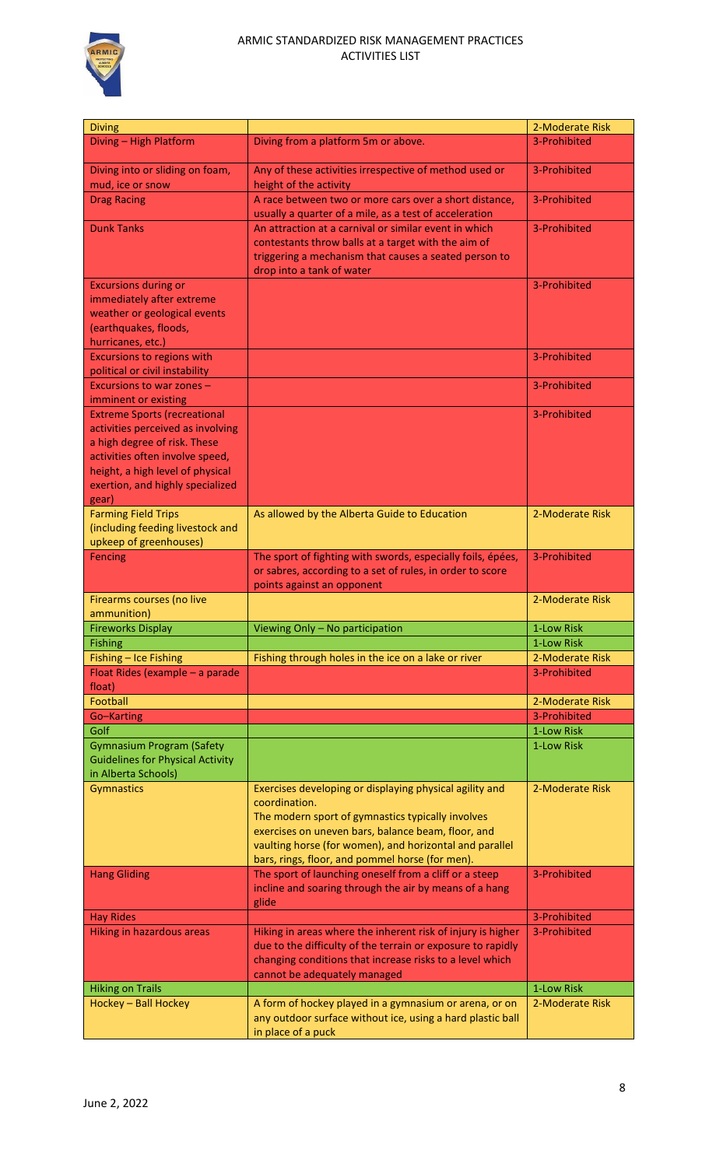

## ARMIC STANDARDIZED RISK MANAGEMENT PRACTICES ACTIVITIES LIST

| <b>Diving</b>                                                                                      |                                                                                                                                                                    | 2-Moderate Risk               |
|----------------------------------------------------------------------------------------------------|--------------------------------------------------------------------------------------------------------------------------------------------------------------------|-------------------------------|
| Diving - High Platform                                                                             | Diving from a platform 5m or above.                                                                                                                                | 3-Prohibited                  |
| Diving into or sliding on foam,<br>mud, ice or snow                                                | Any of these activities irrespective of method used or<br>height of the activity                                                                                   | 3-Prohibited                  |
| <b>Drag Racing</b>                                                                                 | A race between two or more cars over a short distance,<br>usually a quarter of a mile, as a test of acceleration                                                   | 3-Prohibited                  |
| <b>Dunk Tanks</b>                                                                                  | An attraction at a carnival or similar event in which<br>contestants throw balls at a target with the aim of                                                       | 3-Prohibited                  |
|                                                                                                    | triggering a mechanism that causes a seated person to<br>drop into a tank of water                                                                                 |                               |
| <b>Excursions during or</b><br>immediately after extreme                                           |                                                                                                                                                                    | 3-Prohibited                  |
| weather or geological events<br>(earthquakes, floods,                                              |                                                                                                                                                                    |                               |
| hurricanes, etc.)<br><b>Excursions to regions with</b><br>political or civil instability           |                                                                                                                                                                    | 3-Prohibited                  |
| Excursions to war zones -<br>imminent or existing                                                  |                                                                                                                                                                    | 3-Prohibited                  |
| <b>Extreme Sports (recreational</b>                                                                |                                                                                                                                                                    | 3-Prohibited                  |
| activities perceived as involving<br>a high degree of risk. These                                  |                                                                                                                                                                    |                               |
| activities often involve speed,<br>height, a high level of physical                                |                                                                                                                                                                    |                               |
| exertion, and highly specialized<br>gear)                                                          |                                                                                                                                                                    |                               |
| <b>Farming Field Trips</b><br>(including feeding livestock and<br>upkeep of greenhouses)           | As allowed by the Alberta Guide to Education                                                                                                                       | 2-Moderate Risk               |
| Fencing                                                                                            | The sport of fighting with swords, especially foils, épées,<br>or sabres, according to a set of rules, in order to score<br>points against an opponent             | 3-Prohibited                  |
| Firearms courses (no live<br>ammunition)                                                           |                                                                                                                                                                    | 2-Moderate Risk               |
| <b>Fireworks Display</b>                                                                           | Viewing Only - No participation                                                                                                                                    | 1-Low Risk                    |
| <b>Fishing</b>                                                                                     |                                                                                                                                                                    | 1-Low Risk<br>2-Moderate Risk |
| Fishing - Ice Fishing<br>Float Rides (example - a parade                                           | Fishing through holes in the ice on a lake or river                                                                                                                | 3-Prohibited                  |
| float)                                                                                             |                                                                                                                                                                    |                               |
| Football                                                                                           |                                                                                                                                                                    | 2-Moderate Risk               |
| Go-Karting                                                                                         |                                                                                                                                                                    | 3-Prohibited                  |
| Golf                                                                                               |                                                                                                                                                                    | 1-Low Risk                    |
| <b>Gymnasium Program (Safety</b><br><b>Guidelines for Physical Activity</b><br>in Alberta Schools) |                                                                                                                                                                    | 1-Low Risk                    |
| Gymnastics                                                                                         | Exercises developing or displaying physical agility and<br>coordination.                                                                                           | 2-Moderate Risk               |
|                                                                                                    | The modern sport of gymnastics typically involves<br>exercises on uneven bars, balance beam, floor, and<br>vaulting horse (for women), and horizontal and parallel |                               |
|                                                                                                    | bars, rings, floor, and pommel horse (for men).                                                                                                                    |                               |
| <b>Hang Gliding</b>                                                                                | The sport of launching oneself from a cliff or a steep<br>incline and soaring through the air by means of a hang<br>glide                                          | 3-Prohibited                  |
| <b>Hay Rides</b>                                                                                   |                                                                                                                                                                    | 3-Prohibited                  |
| Hiking in hazardous areas                                                                          | Hiking in areas where the inherent risk of injury is higher<br>due to the difficulty of the terrain or exposure to rapidly                                         | 3-Prohibited                  |
|                                                                                                    | changing conditions that increase risks to a level which<br>cannot be adequately managed                                                                           |                               |
| <b>Hiking on Trails</b>                                                                            |                                                                                                                                                                    | 1-Low Risk                    |
| Hockey - Ball Hockey                                                                               | A form of hockey played in a gymnasium or arena, or on                                                                                                             | 2-Moderate Risk               |
|                                                                                                    | any outdoor surface without ice, using a hard plastic ball<br>in place of a puck                                                                                   |                               |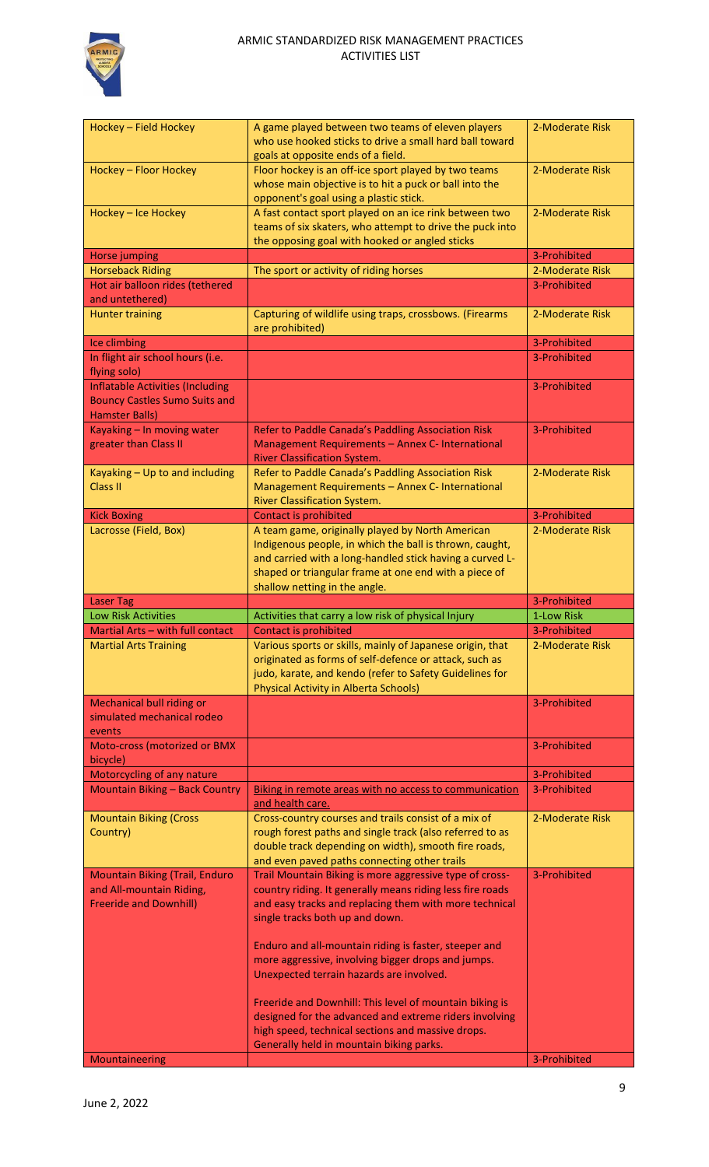

| Hockey - Field Hockey                                                                                    | A game played between two teams of eleven players<br>who use hooked sticks to drive a small hard ball toward<br>goals at opposite ends of a field.                             | 2-Moderate Risk |
|----------------------------------------------------------------------------------------------------------|--------------------------------------------------------------------------------------------------------------------------------------------------------------------------------|-----------------|
| Hockey - Floor Hockey                                                                                    | Floor hockey is an off-ice sport played by two teams<br>whose main objective is to hit a puck or ball into the<br>opponent's goal using a plastic stick.                       | 2-Moderate Risk |
| Hockey - Ice Hockey                                                                                      | A fast contact sport played on an ice rink between two<br>teams of six skaters, who attempt to drive the puck into<br>the opposing goal with hooked or angled sticks           | 2-Moderate Risk |
| <b>Horse jumping</b>                                                                                     |                                                                                                                                                                                | 3-Prohibited    |
| <b>Horseback Riding</b>                                                                                  | The sport or activity of riding horses                                                                                                                                         | 2-Moderate Risk |
| Hot air balloon rides (tethered                                                                          |                                                                                                                                                                                | 3-Prohibited    |
| and untethered)                                                                                          |                                                                                                                                                                                |                 |
| <b>Hunter training</b>                                                                                   | Capturing of wildlife using traps, crossbows. (Firearms<br>are prohibited)                                                                                                     | 2-Moderate Risk |
| Ice climbing                                                                                             |                                                                                                                                                                                | 3-Prohibited    |
| In flight air school hours (i.e.<br>flying solo)                                                         |                                                                                                                                                                                | 3-Prohibited    |
| <b>Inflatable Activities (Including</b><br><b>Bouncy Castles Sumo Suits and</b><br><b>Hamster Balls)</b> |                                                                                                                                                                                | 3-Prohibited    |
| Kayaking - In moving water<br>greater than Class II                                                      | Refer to Paddle Canada's Paddling Association Risk<br>Management Requirements - Annex C- International<br><b>River Classification System.</b>                                  | 3-Prohibited    |
| Kayaking - Up to and including<br>Class II                                                               | Refer to Paddle Canada's Paddling Association Risk<br>Management Requirements - Annex C- International<br>River Classification System.                                         | 2-Moderate Risk |
| <b>Kick Boxing</b>                                                                                       | Contact is prohibited                                                                                                                                                          | 3-Prohibited    |
| Lacrosse (Field, Box)                                                                                    | A team game, originally played by North American                                                                                                                               | 2-Moderate Risk |
|                                                                                                          | Indigenous people, in which the ball is thrown, caught,<br>and carried with a long-handled stick having a curved L-<br>shaped or triangular frame at one end with a piece of   |                 |
|                                                                                                          | shallow netting in the angle.                                                                                                                                                  |                 |
|                                                                                                          |                                                                                                                                                                                |                 |
| <b>Laser Tag</b>                                                                                         |                                                                                                                                                                                | 3-Prohibited    |
| <b>Low Risk Activities</b>                                                                               | Activities that carry a low risk of physical Injury                                                                                                                            | 1-Low Risk      |
| Martial Arts - with full contact                                                                         | <b>Contact is prohibited</b>                                                                                                                                                   | 3-Prohibited    |
| <b>Martial Arts Training</b>                                                                             | Various sports or skills, mainly of Japanese origin, that<br>originated as forms of self-defence or attack, such as<br>judo, karate, and kendo (refer to Safety Guidelines for | 2-Moderate Risk |
|                                                                                                          | <b>Physical Activity in Alberta Schools)</b>                                                                                                                                   |                 |
| <b>Mechanical bull riding or</b><br>simulated mechanical rodeo<br>events                                 |                                                                                                                                                                                | 3-Prohibited    |
| Moto-cross (motorized or BMX<br>bicycle)                                                                 |                                                                                                                                                                                | 3-Prohibited    |
| Motorcycling of any nature                                                                               |                                                                                                                                                                                | 3-Prohibited    |
| <b>Mountain Biking - Back Country</b>                                                                    | Biking in remote areas with no access to communication<br>and health care.                                                                                                     | 3-Prohibited    |
| <b>Mountain Biking (Cross</b><br>Country)                                                                | Cross-country courses and trails consist of a mix of<br>rough forest paths and single track (also referred to as<br>double track depending on width), smooth fire roads,       | 2-Moderate Risk |
|                                                                                                          | and even paved paths connecting other trails                                                                                                                                   |                 |
| <b>Mountain Biking (Trail, Enduro</b>                                                                    | Trail Mountain Biking is more aggressive type of cross-                                                                                                                        | 3-Prohibited    |
| and All-mountain Riding,                                                                                 | country riding. It generally means riding less fire roads                                                                                                                      |                 |
| <b>Freeride and Downhill)</b>                                                                            | and easy tracks and replacing them with more technical<br>single tracks both up and down.                                                                                      |                 |
|                                                                                                          |                                                                                                                                                                                |                 |
|                                                                                                          | Enduro and all-mountain riding is faster, steeper and<br>more aggressive, involving bigger drops and jumps.<br>Unexpected terrain hazards are involved.                        |                 |
|                                                                                                          |                                                                                                                                                                                |                 |
|                                                                                                          | Freeride and Downhill: This level of mountain biking is                                                                                                                        |                 |
|                                                                                                          | designed for the advanced and extreme riders involving                                                                                                                         |                 |
|                                                                                                          | high speed, technical sections and massive drops.                                                                                                                              |                 |
| Mountaineering                                                                                           | Generally held in mountain biking parks.                                                                                                                                       | 3-Prohibited    |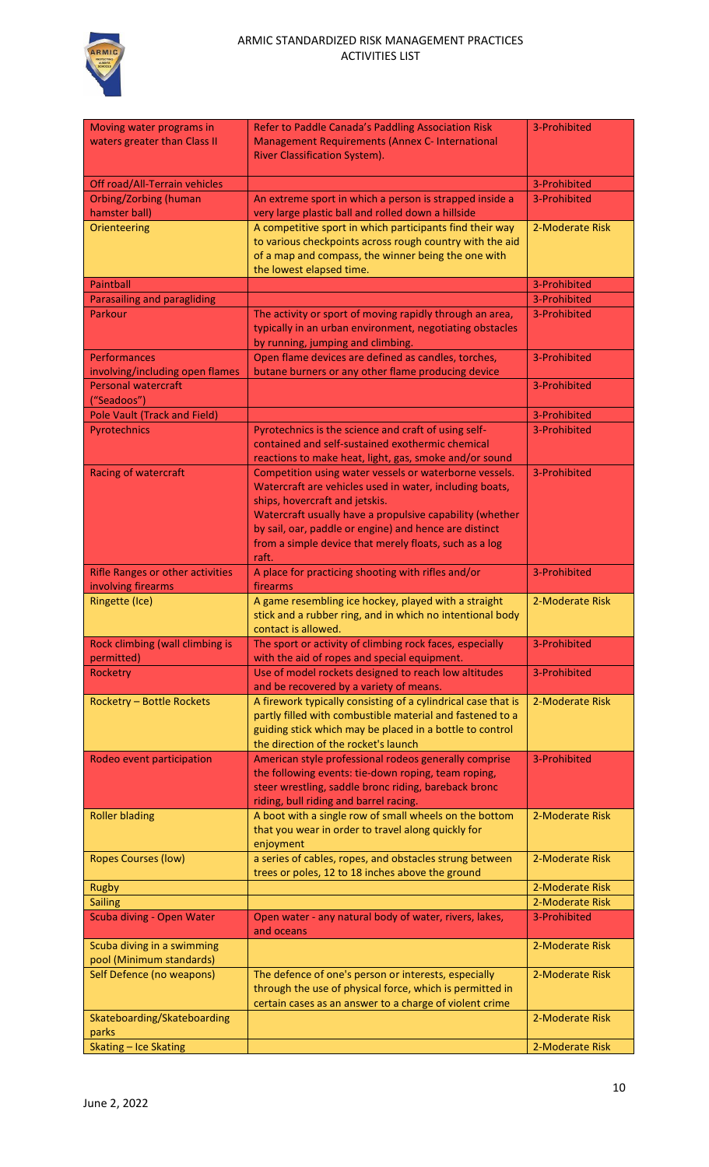

| Moving water programs in<br>waters greater than Class II      | Refer to Paddle Canada's Paddling Association Risk<br>Management Requirements (Annex C- International<br>River Classification System).                                                                                         | 3-Prohibited    |
|---------------------------------------------------------------|--------------------------------------------------------------------------------------------------------------------------------------------------------------------------------------------------------------------------------|-----------------|
| Off road/All-Terrain vehicles                                 |                                                                                                                                                                                                                                | 3-Prohibited    |
| <b>Orbing/Zorbing (human</b>                                  | An extreme sport in which a person is strapped inside a                                                                                                                                                                        | 3-Prohibited    |
| hamster ball)                                                 | very large plastic ball and rolled down a hillside                                                                                                                                                                             |                 |
| Orienteering                                                  | A competitive sport in which participants find their way<br>to various checkpoints across rough country with the aid<br>of a map and compass, the winner being the one with<br>the lowest elapsed time.                        | 2-Moderate Risk |
| <b>Paintball</b>                                              |                                                                                                                                                                                                                                | 3-Prohibited    |
| Parasailing and paragliding                                   |                                                                                                                                                                                                                                | 3-Prohibited    |
| Parkour                                                       | The activity or sport of moving rapidly through an area,<br>typically in an urban environment, negotiating obstacles<br>by running, jumping and climbing.                                                                      | 3-Prohibited    |
| Performances<br>involving/including open flames               | Open flame devices are defined as candles, torches,<br>butane burners or any other flame producing device                                                                                                                      | 3-Prohibited    |
| <b>Personal watercraft</b><br>("Seadoos")                     |                                                                                                                                                                                                                                | 3-Prohibited    |
| <b>Pole Vault (Track and Field)</b>                           |                                                                                                                                                                                                                                | 3-Prohibited    |
| Pyrotechnics                                                  | Pyrotechnics is the science and craft of using self-                                                                                                                                                                           | 3-Prohibited    |
|                                                               | contained and self-sustained exothermic chemical                                                                                                                                                                               |                 |
|                                                               | reactions to make heat, light, gas, smoke and/or sound                                                                                                                                                                         |                 |
| <b>Racing of watercraft</b>                                   | Competition using water vessels or waterborne vessels.<br>Watercraft are vehicles used in water, including boats,<br>ships, hovercraft and jetskis.                                                                            | 3-Prohibited    |
|                                                               | Watercraft usually have a propulsive capability (whether<br>by sail, oar, paddle or engine) and hence are distinct<br>from a simple device that merely floats, such as a log                                                   |                 |
|                                                               | raft.                                                                                                                                                                                                                          |                 |
| <b>Rifle Ranges or other activities</b><br>involving firearms | A place for practicing shooting with rifles and/or<br>firearms                                                                                                                                                                 | 3-Prohibited    |
|                                                               |                                                                                                                                                                                                                                |                 |
|                                                               |                                                                                                                                                                                                                                |                 |
| <b>Ringette (Ice)</b>                                         | A game resembling ice hockey, played with a straight<br>stick and a rubber ring, and in which no intentional body<br>contact is allowed.                                                                                       | 2-Moderate Risk |
| Rock climbing (wall climbing is<br>permitted)                 | The sport or activity of climbing rock faces, especially<br>with the aid of ropes and special equipment.                                                                                                                       | 3-Prohibited    |
| Rocketry                                                      | Use of model rockets designed to reach low altitudes<br>and be recovered by a variety of means.                                                                                                                                | 3-Prohibited    |
| <b>Rocketry - Bottle Rockets</b>                              | A firework typically consisting of a cylindrical case that is<br>partly filled with combustible material and fastened to a<br>guiding stick which may be placed in a bottle to control<br>the direction of the rocket's launch | 2-Moderate Risk |
| Rodeo event participation                                     | American style professional rodeos generally comprise<br>the following events: tie-down roping, team roping,<br>steer wrestling, saddle bronc riding, bareback bronc                                                           | 3-Prohibited    |
| <b>Roller blading</b>                                         | riding, bull riding and barrel racing.<br>A boot with a single row of small wheels on the bottom<br>that you wear in order to travel along quickly for<br>enjoyment                                                            | 2-Moderate Risk |
| <b>Ropes Courses (low)</b>                                    | a series of cables, ropes, and obstacles strung between<br>trees or poles, 12 to 18 inches above the ground                                                                                                                    | 2-Moderate Risk |
| <b>Rugby</b>                                                  |                                                                                                                                                                                                                                | 2-Moderate Risk |
| <b>Sailing</b>                                                |                                                                                                                                                                                                                                | 2-Moderate Risk |
| Scuba diving - Open Water                                     | Open water - any natural body of water, rivers, lakes,<br>and oceans                                                                                                                                                           | 3-Prohibited    |
| Scuba diving in a swimming<br>pool (Minimum standards)        |                                                                                                                                                                                                                                | 2-Moderate Risk |
| Self Defence (no weapons)                                     | The defence of one's person or interests, especially<br>through the use of physical force, which is permitted in<br>certain cases as an answer to a charge of violent crime                                                    | 2-Moderate Risk |
| Skateboarding/Skateboarding<br>parks                          |                                                                                                                                                                                                                                | 2-Moderate Risk |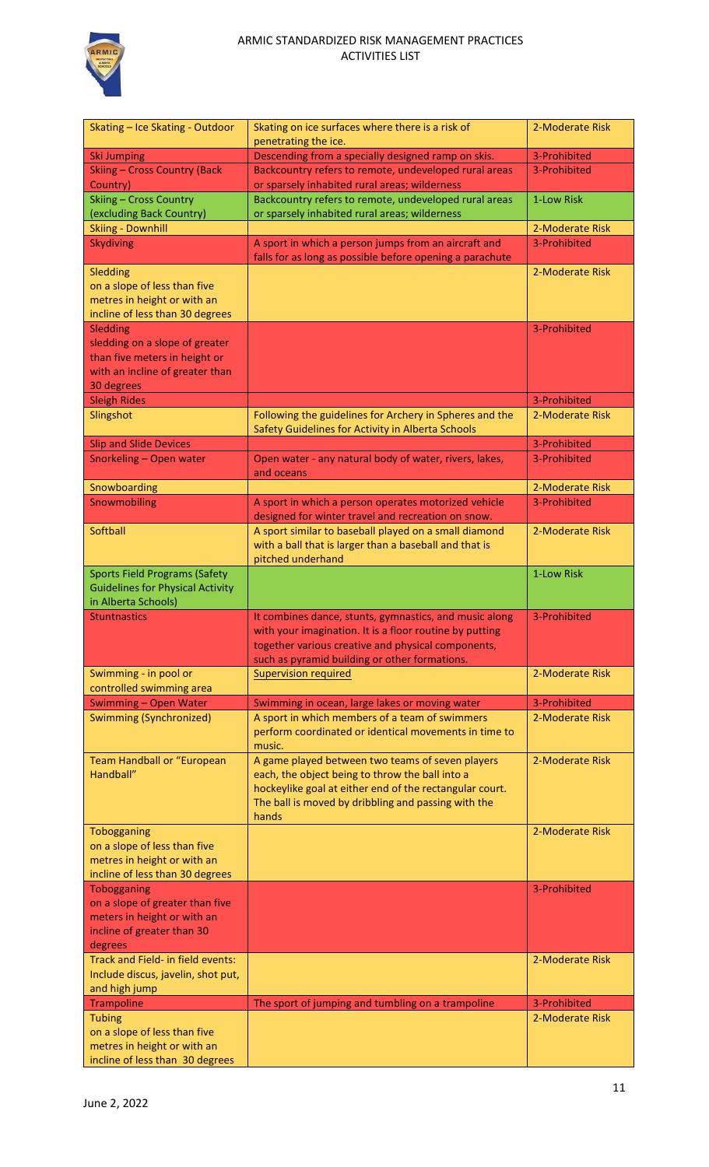

| Skating - Ice Skating - Outdoor                                | Skating on ice surfaces where there is a risk of         | 2-Moderate Risk |
|----------------------------------------------------------------|----------------------------------------------------------|-----------------|
|                                                                | penetrating the ice.                                     |                 |
| <b>Ski Jumping</b>                                             | Descending from a specially designed ramp on skis.       | 3-Prohibited    |
| <b>Skiing - Cross Country (Back</b>                            | Backcountry refers to remote, undeveloped rural areas    | 3-Prohibited    |
| Country)                                                       | or sparsely inhabited rural areas; wilderness            |                 |
| <b>Skiing - Cross Country</b>                                  | Backcountry refers to remote, undeveloped rural areas    | 1-Low Risk      |
| (excluding Back Country)                                       | or sparsely inhabited rural areas; wilderness            |                 |
|                                                                |                                                          |                 |
| <b>Skiing - Downhill</b>                                       |                                                          | 2-Moderate Risk |
| <b>Skydiving</b>                                               | A sport in which a person jumps from an aircraft and     | 3-Prohibited    |
|                                                                | falls for as long as possible before opening a parachute |                 |
| Sledding                                                       |                                                          | 2-Moderate Risk |
| on a slope of less than five                                   |                                                          |                 |
| metres in height or with an                                    |                                                          |                 |
| incline of less than 30 degrees                                |                                                          |                 |
| <b>Sledding</b>                                                |                                                          | 3-Prohibited    |
|                                                                |                                                          |                 |
| sledding on a slope of greater                                 |                                                          |                 |
| than five meters in height or                                  |                                                          |                 |
| with an incline of greater than                                |                                                          |                 |
| 30 degrees                                                     |                                                          |                 |
| <b>Sleigh Rides</b>                                            |                                                          | 3-Prohibited    |
| Slingshot                                                      | Following the guidelines for Archery in Spheres and the  | 2-Moderate Risk |
|                                                                | Safety Guidelines for Activity in Alberta Schools        |                 |
| <b>Slip and Slide Devices</b>                                  |                                                          | 3-Prohibited    |
|                                                                |                                                          |                 |
| Snorkeling - Open water                                        | Open water - any natural body of water, rivers, lakes,   | 3-Prohibited    |
|                                                                | and oceans                                               |                 |
| Snowboarding                                                   |                                                          | 2-Moderate Risk |
| Snowmobiling                                                   | A sport in which a person operates motorized vehicle     | 3-Prohibited    |
|                                                                | designed for winter travel and recreation on snow.       |                 |
| Softball                                                       | A sport similar to baseball played on a small diamond    | 2-Moderate Risk |
|                                                                | with a ball that is larger than a baseball and that is   |                 |
|                                                                | pitched underhand                                        |                 |
|                                                                |                                                          |                 |
| <b>Sports Field Programs (Safety</b>                           |                                                          | 1-Low Risk      |
| <b>Guidelines for Physical Activity</b>                        |                                                          |                 |
|                                                                |                                                          |                 |
| in Alberta Schools)                                            |                                                          |                 |
| <b>Stuntnastics</b>                                            | It combines dance, stunts, gymnastics, and music along   | 3-Prohibited    |
|                                                                |                                                          |                 |
|                                                                | with your imagination. It is a floor routine by putting  |                 |
|                                                                | together various creative and physical components,       |                 |
|                                                                | such as pyramid building or other formations.            |                 |
| Swimming - in pool or                                          | <b>Supervision required</b>                              | 2-Moderate Risk |
| controlled swimming area                                       |                                                          |                 |
| Swimming - Open Water                                          | Swimming in ocean, large lakes or moving water           | 3-Prohibited    |
| <b>Swimming (Synchronized)</b>                                 | A sport in which members of a team of swimmers           | 2-Moderate Risk |
|                                                                | perform coordinated or identical movements in time to    |                 |
|                                                                | music.                                                   |                 |
| Team Handball or "European                                     | A game played between two teams of seven players         | 2-Moderate Risk |
| Handball"                                                      |                                                          |                 |
|                                                                | each, the object being to throw the ball into a          |                 |
|                                                                | hockeylike goal at either end of the rectangular court.  |                 |
|                                                                | The ball is moved by dribbling and passing with the      |                 |
|                                                                | hands                                                    |                 |
| Tobogganing                                                    |                                                          | 2-Moderate Risk |
| on a slope of less than five                                   |                                                          |                 |
| metres in height or with an                                    |                                                          |                 |
| incline of less than 30 degrees                                |                                                          |                 |
| Tobogganing                                                    |                                                          | 3-Prohibited    |
| on a slope of greater than five                                |                                                          |                 |
| meters in height or with an                                    |                                                          |                 |
|                                                                |                                                          |                 |
| incline of greater than 30                                     |                                                          |                 |
| degrees                                                        |                                                          |                 |
| Track and Field- in field events:                              |                                                          | 2-Moderate Risk |
| Include discus, javelin, shot put,                             |                                                          |                 |
| and high jump                                                  |                                                          |                 |
| <b>Trampoline</b>                                              | The sport of jumping and tumbling on a trampoline        | 3-Prohibited    |
| <b>Tubing</b>                                                  |                                                          | 2-Moderate Risk |
| on a slope of less than five                                   |                                                          |                 |
| metres in height or with an<br>incline of less than 30 degrees |                                                          |                 |